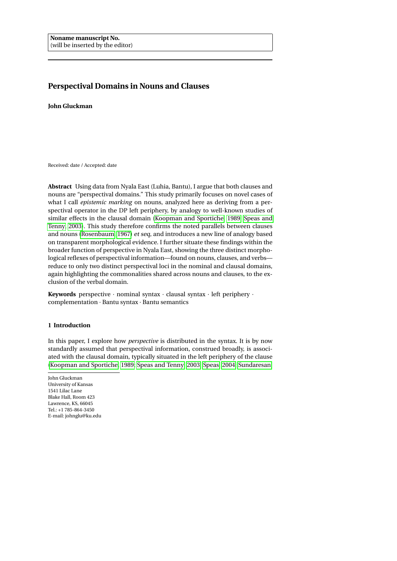# <span id="page-0-0"></span>**Perspectival Domains in Nouns and Clauses**

**John Gluckman**

Received: date / Accepted: date

**Abstract** Using data from Nyala East (Luhia, Bantu), I argue that both clauses and nouns are "perspectival domains." This study primarily focuses on novel cases of what I call *epistemic marking* on nouns, analyzed here as deriving from a perspectival operator in the DP left periphery, by analogy to well-known studies of similar effects in the clausal domain [\(Koopman and Sportiche, 1989;](#page-46-0) [Speas and](#page-48-0) [Tenny, 2003\)](#page-48-0). This study therefore confirms the noted parallels between clauses and nouns [\(Rosenbaum, 1967\)](#page-47-0) et seq, and introduces a new line of analogy based on transparent morphological evidence. I further situate these findings within the broader function of perspective in Nyala East, showing the three distinct morphological reflexes of perspectival information—found on nouns, clauses, and verbs reduce to only two distinct perspectival loci in the nominal and clausal domains, again highlighting the commonalities shared across nouns and clauses, to the exclusion of the verbal domain.

**Keywords** perspective · nominal syntax · clausal syntax · left periphery · complementation · Bantu syntax · Bantu semantics

# **1 Introduction**

In this paper, I explore how *perspective* is distributed in the syntax. It is by now standardly assumed that perspectival information, construed broadly, is associated with the clausal domain, typically situated in the left periphery of the clause [\(Koopman and Sportiche, 1989;](#page-46-0) [Speas and Tenny, 2003;](#page-48-0) [Speas, 2004;](#page-48-1) [Sundaresan,](#page-48-2)

John Gluckman University of Kansas 1541 Lilac Lane Blake Hall, Room 423 Lawrence, KS, 66045 Tel.: +1 785-864-3450 E-mail: johnglu@ku.edu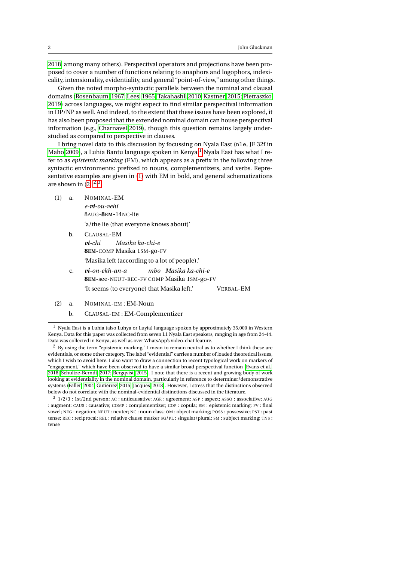[2018,](#page-48-2) among many others). Perspectival operators and projections have been proposed to cover a number of functions relating to anaphors and logophors, indexicality, intensionality, evidentiality, and general "point-of-view," among other things.

Given the noted morpho-syntactic parallels between the nominal and clausal domains [\(Rosenbaum, 1967;](#page-47-0) [Lees, 1965;](#page-47-1) [Takahashi, 2010;](#page-48-3) [Kastner, 2015;](#page-46-1) [Pietraszko,](#page-47-2) [2019\)](#page-47-2) across languages, we might expect to find similar perspectival information in DP/NP as well. And indeed, to the extent that these issues have been explored, it has also been proposed that the extended nominal domain can house perspectival information (e.g., [Charnavel 2019\)](#page-45-0), though this question remains largely understudied as compared to perspective in clauses.

I bring novel data to this discussion by focussing on Nyala East (nle, JE 32f in [Maho 2009\)](#page-47-3), a Luhia Bantu language spoken in Kenya.<sup>[1](#page-1-0)</sup> Nyala East has what I refer to as *epistemic marking* (EM), which appears as a prefix in the following three syntactic environments: prefixed to nouns, complementizers, and verbs. Representative examples are given in [\(1\)](#page-1-1) with EM in bold, and general schematizations are shown in  $(2).^{2,3}$  $(2).^{2,3}$  $(2).^{2,3}$  $(2).^{2,3}$  $(2).^{2,3}$ 

- <span id="page-1-1"></span>(1) a. NOMINAL-EM *e-vi-ou-vehi* 8AUG-**8EM-**14NC-lie 'a/the lie (that everyone knows about)'
	- b. CLAUSAL-EM

*vi-chi* **8EM-**COMP Masika 1SM-go-FV *Masika ka-chi-e* 'Masika left (according to a lot of people).'

- c. *vi-on-ekh-an-a* **8EM-**see-NEUT-REC-FV COMP Masika 1SM-go-FV *mbo Masika ka-chi-e* 'It seems (to everyone) that Masika left.' VERBAL-EM
- <span id="page-1-2"></span>(2) a. NOMINAL-EM : EM-Noun
	- b. CLAUSAL-EM : EM-Complementizer

<span id="page-1-3"></span> $2$  By using the term "epistemic marking," I mean to remain neutral as to whether I think these are evidentials, or some other category. The label "evidential" carries a number of loaded theoretical issues, which I wish to avoid here. I also want to draw a connection to recent typological work on markers of "engagement," which have been observed to have a similar broad perspectival function [\(Evans et al.,](#page-45-1) [2018;](#page-45-1) [Schultze-Berndt, 2017;](#page-48-4) [Bergqvist, 2015\)](#page-44-0). I note that there is a recent and growing body of work looking at evidentiality in the nominal domain, particularly in reference to determiner/demonstrative systems [\(Faller, 2004;](#page-45-2) [Gutiérrez, 2015;](#page-46-2) [Jacques, 2018\)](#page-46-3). However, I stress that the distinctions observed below do not correlate with the nominal-evidential distinctions discussed in the literature.

<span id="page-1-4"></span><sup>3</sup> 1/2/3 : 1st/2nd person; AC : anticausative; AGR : agreement; ASP : aspect; ASSO : associative; AUG : augment; CAUS : causative; COMP : complementizer; COP : copula; EM : epistemic marking; FV : final vowel; NEG : negation; NEUT : neuter; NC : noun class; OM : object marking; POSS : possessive; PST : past tense; REC : reciprocal; REL : relative clause marker SG/PL : singular/plural; SM : subject marking; TNS : tense

<span id="page-1-0"></span><sup>1</sup> Nyala East is a Luhia (also Luhya or Luyia) language spoken by approximately 35,000 in Western Kenya. Data for this paper was collected from seven L1 Nyala East speakers, ranging in age from 24-44. Data was collected in Kenya, as well as over WhatsApp's video-chat feature.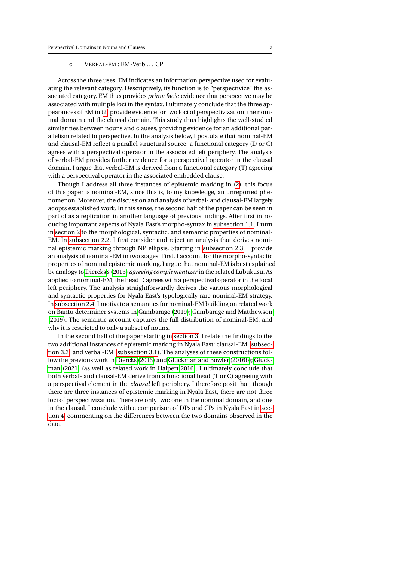# c. VERBAL-EM : EM-Verb ... CP

Across the three uses, EM indicates an information perspective used for evaluating the relevant category. Descriptively, its function is to "perspectivize" the associated category. EM thus provides prima facie evidence that perspective may be associated with multiple loci in the syntax. I ultimately conclude that the three appearances of EM in [\(2\)](#page-1-2) provide evidence for two loci of perspectivization: the nominal domain and the clausal domain. This study thus highlights the well-studied similarities between nouns and clauses, providing evidence for an additional parallelism related to perspective. In the analysis below, I postulate that nominal-EM and clausal-EM reflect a parallel structural source: a functional category (D or C) agrees with a perspectival operator in the associated left periphery. The analysis of verbal-EM provides further evidence for a perspectival operator in the clausal domain. I argue that verbal-EM is derived from a functional category (T) agreeing with a perspectival operator in the associated embedded clause.

Though I address all three instances of epistemic marking in [\(2\)](#page-1-2), this focus of this paper is nominal-EM, since this is, to my knowledge, an unreported phenomenon. Moreover, the discussion and analysis of verbal- and clausal-EM largely adopts established work. In this sense, the second half of the paper can be seen in part of as a replication in another language of previous findings. After first introducing important aspects of Nyala East's morpho-syntax in [subsection 1.1,](#page-3-0) I turn in [section 2](#page-4-0) to the morphological, syntactic, and semantic properties of nominal-EM. In [subsection 2.2,](#page-11-0) I first consider and reject an analysis that derives nominal epistemic marking through NP ellipsis. Starting in [subsection 2.3,](#page-15-0) I provide an analysis of nominal-EM in two stages. First, I account for the morpho-syntactic properties of nominal epistemic marking. I argue that nominal-EM is best explained by analogy to [Diercks'](#page-45-3)s [\(2013\)](#page-45-3) *agreeing complementizer* in the related Lubukusu. As applied to nominal-EM, the head D agrees with a perspectival operator in the local left periphery. The analysis straightforwardly derives the various morphological and syntactic properties for Nyala East's typologically rare nominal-EM strategy. In [subsection 2.4,](#page-18-0) I motivate a semantics for nominal-EM building on related work on Bantu determiner systems in [Gambarage](#page-45-4) [\(2019\)](#page-45-4); [Gambarage and Matthewson](#page-45-5) [\(2019\)](#page-45-5). The semantic account captures the full distribution of nominal-EM, and why it is restricted to only a subset of nouns.

In the second half of the paper starting in [section 3,](#page-27-0) I relate the findings to the two additional instances of epistemic marking in Nyala East: clausal-EM [\(subsec](#page-35-0)[tion 3.3\)](#page-35-0) and verbal-EM [\(subsection 3.1\)](#page-27-1). The analyses of these constructions follow the previous work in [Diercks](#page-45-3) [\(2013\)](#page-45-3) and [Gluckman and Bowler](#page-46-4) [\(2016b\)](#page-46-4); [Gluck](#page-46-5)[man](#page-46-5) [\(2021\)](#page-46-5) (as well as related work in [Halpert 2016\)](#page-46-6). I ultimately conclude that both verbal- and clausal-EM derive from a functional head (T or C) agreeing with a perspectival element in the *clausal* left periphery. I therefore posit that, though there are three instances of epistemic marking in Nyala East, there are not three loci of perspectivization. There are only two: one in the nominal domain, and one in the clausal. I conclude with a comparison of DPs and CPs in Nyala East in [sec](#page-41-0)[tion 4,](#page-41-0) commenting on the differences between the two domains observed in the data.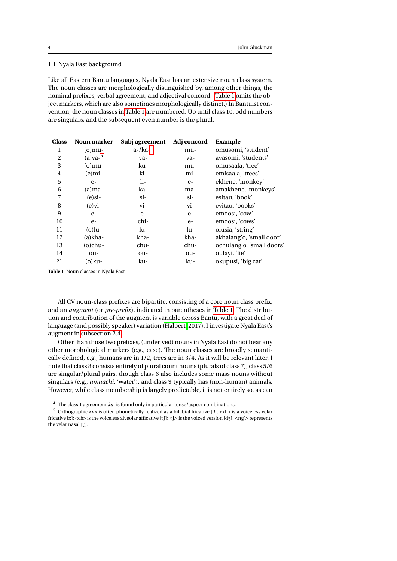# <span id="page-3-0"></span>1.1 Nyala East background

Like all Eastern Bantu languages, Nyala East has an extensive noun class system. The noun classes are morphologically distinguished by, among other things, the nominal prefixes, verbal agreement, and adjectival concord. [\(Table 1](#page-3-1) omits the object markers, which are also sometimes morphologically distinct.) In Bantuist convention, the noun classes in [Table 1](#page-3-1) are numbered. Up until class 10, odd numbers are singulars, and the subsequent even number is the plural.

| <b>Class</b>   | Noun marker   | Subj agreement       | Adj concord | Example                   |
|----------------|---------------|----------------------|-------------|---------------------------|
| 1              | $(o)$ mu-     | $a$ -/ $k$ $a$ - $4$ | mu-         | omusomi, 'student'        |
| 2              | $(a)$ va- $5$ | va-                  | va-         | avasomi, 'students'       |
| 3              | $(o)$ mu-     | ku-                  | mu-         | omusaala, 'tree'          |
| $\overline{4}$ | $(e)$ mi-     | ki-                  | mi-         | emisaala, 'trees'         |
| 5              | $e-$          | li-                  | $e-$        | ekhene, 'monkey'          |
| 6              | $(a)$ ma-     | ka-                  | ma-         | amakhene, 'monkeys'       |
| 7              | $(e)$ si-     | si-                  | $\sin$      | esitau, 'book'            |
| 8              | $(e)$ vi-     | vi-                  | vi-         | evitau, 'books'           |
| 9              | $e-$          | $e-$                 | $e-$        | emoosi, 'cow'             |
| 10             | $e-$          | chi-                 | $e-$        | emoosi, 'cows'            |
| 11             | $(o)$ lu-     | lu-                  | lu-         | olusia, 'string'          |
| 12             | $(a)$ kha-    | kha-                 | kha-        | akhalang'o, 'small door'  |
| 13             | $(o)$ chu-    | chu-                 | chu-        | ochulang'o, 'small doors' |
| 14             | ou-           | ou-                  | ou-         | oulayi, 'lie'             |
| 21             | (o)ku-        | ku-                  | ku-         | okupusi, 'big cat'        |

<span id="page-3-1"></span>**Table 1** Noun classes in Nyala East

All CV noun-class prefixes are bipartite, consisting of a core noun class prefix, and an *augment* (or *pre-prefix*), indicated in parentheses in [Table 1.](#page-3-1) The distribution and contribution of the augment is variable across Bantu, with a great deal of language (and possibly speaker) variation [\(Halpert, 2017\)](#page-46-7). I investigate Nyala East's augment in [subsection 2.4.](#page-18-0)

Other than those two prefixes, (underived) nouns in Nyala East do not bear any other morphological markers (e.g., case). The noun classes are broadly semantically defined, e.g., humans are in 1/2, trees are in 3/4. As it will be relevant later, I note that class 8 consists entirely of plural count nouns (plurals of class 7), class 5/6 are singular/plural pairs, though class 6 also includes some mass nouns without singulars (e.g., *amaachi*, 'water'), and class 9 typically has (non-human) animals. However, while class membership is largely predictable, it is not entirely so, as can

<span id="page-3-2"></span><sup>4</sup> The class 1 agreement *ka-* is found only in particular tense/aspect combinations.

 $^5\,$  Orthographic <v> is often phonetically realized as a bilabial fricative [ $\beta$ ]. <kh> is a voiceless velar fricative [x]; <ch> is the voiceless alveolar afficative [tʃ]; <j> is the voiced version [dʒ]. <ng'> represents the velar nasal [ŋ].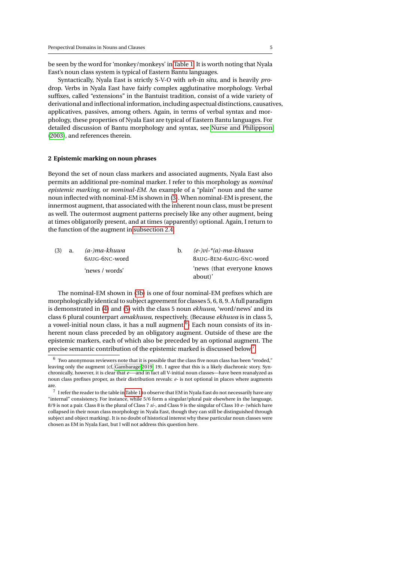be seen by the word for 'monkey/monkeys' in [Table 1.](#page-3-1) It is worth noting that Nyala East's noun class system is typical of Eastern Bantu languages.

Syntactically, Nyala East is strictly S-V-O with *wh-*in situ, and is heavily *pro*drop. Verbs in Nyala East have fairly complex agglutinative morphology. Verbal suffixes, called "extensions" in the Bantuist tradition, consist of a wide variety of derivational and inflectional information, including aspectual distinctions, causatives, applicatives, passives, among others. Again, in terms of verbal syntax and morphology, these properties of Nyala East are typical of Eastern Bantu languages. For detailed discussion of Bantu morphology and syntax, see [Nurse and Philippson](#page-47-4) [\(2003\)](#page-47-4), and references therein.

#### <span id="page-4-0"></span>**2 Epistemic marking on noun phrases**

Beyond the set of noun class markers and associated augments, Nyala East also permits an additional pre-nominal marker. I refer to this morphology as *nominal epistemic marking*, or *nominal-EM*. An example of a "plain" noun and the same noun inflected with nominal-EM is shown in [\(3\)](#page-4-1). When nominal-EM is present, the innermost augment, that associated with the inherent noun class, must be present as well. The outermost augment patterns precisely like any other augment, being at times obligatorily present, and at times (apparently) optional. Again, I return to the function of the augment in [subsection 2.4.](#page-18-0)

<span id="page-4-1"></span>

| (3) | a. | (a-)ma-khuwa<br>$h_{\cdot}$<br>6AUG-6NC-word |  | (e-)vi-*(a)-ma-khuwa<br>8AUG-8EM-6AUG-6NC-word |  |
|-----|----|----------------------------------------------|--|------------------------------------------------|--|
|     |    | 'news / words'                               |  | 'news (that everyone knows<br>about)'          |  |

<span id="page-4-2"></span>The nominal-EM shown in [\(3b\)](#page-4-2) is one of four nominal-EM prefixes which are morphologically identical to subject agreement for classes 5, 6, 8, 9. A full paradigm is demonstrated in [\(4\)](#page-5-0) and [\(5\)](#page-5-1) with the class 5 noun *ekhuwa*, 'word/news' and its class 6 plural counterpart *amakhuwa*, respectively. (Because *ekhuwa* is in class 5, a vowel-initial noun class, it has a null augment. $6$ ) Each noun consists of its inherent noun class preceded by an obligatory augment. Outside of these are the epistemic markers, each of which also be preceded by an optional augment. The precise semantic contribution of the epistemic marked is discussed below.[7](#page-4-4)

<span id="page-4-3"></span> $6\,$  Two anonymous reviewers note that it is possible that the class five noun class has been "eroded," leaving only the augment (cf, [Gambarage 2019,](#page-45-4) 19). I agree that this is a likely diachronic story. Synchronically, however, it is clear that *e-*—and in fact all V-initial noun classes—have been reanalyzed as noun class prefixes proper, as their distribution reveals: *e-* is not optional in places where augments are.

<span id="page-4-4"></span> $^7\,$  I refer the reader to the table in [Table 1](#page-3-1) to observe that EM in Nyala East do not necessarily have any "internal" consistency. For instance, while 5/6 form a singular/plural pair elsewhere in the language, 8/9 is not a pair. Class 8 is the plural of Class 7 *si-*, and Class 9 is the singular of Class 10 *e-* (which have collapsed in their noun class morphology in Nyala East, though they can still be distinguished through subject and object marking). It is no doubt of historical interest why these particular noun classes were chosen as EM in Nyala East, but I will not address this question here.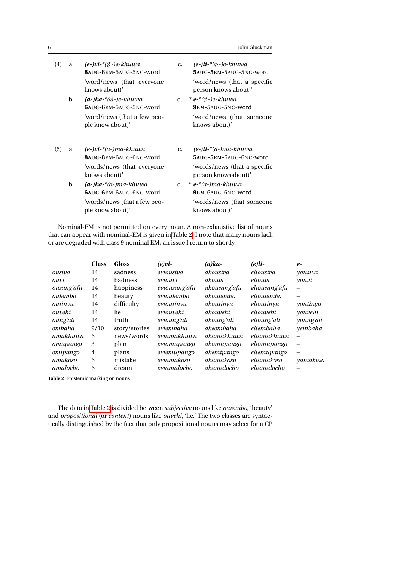|  | John Gluckman |
|--|---------------|
|--|---------------|

<span id="page-5-1"></span><span id="page-5-0"></span>

| (4) | a. | $(e-)vi$ <sup>*</sup> $(\emptyset$ -)e-khuwa<br>8AUG-8EM-5AUG-5NC-word | c.             | $(e-)$ <i>li</i> -* $(\emptyset$ -)e-khuwa<br>5AUG-5EM-5AUG-5NC-word |
|-----|----|------------------------------------------------------------------------|----------------|----------------------------------------------------------------------|
|     |    | 'word/news (that everyone<br>knows about)'                             |                | 'word/news (that a specific<br>person knows about)'                  |
|     | b. | $(a-)ka-*$ $\emptyset$ -)e-khuwa<br>6AUG-6EM-5AUG-5NC-word             |                | d. ? $e^{-*(\phi-\phi-khuwa)}$<br>9EM-5AUG-5NC-word                  |
|     |    | 'word/news (that a few peo-<br>ple know about)'                        |                | 'word/news (that someone<br>knows about)'                            |
| (5) | a. | $(e-)vi$ <sup>*</sup> $(a-)ma$ -khuwa<br>8AUG-8EM-6AUG-6NC-word        | C <sub>1</sub> | $(e-)$ li-* $(a-)$ ma-khuwa<br>5AUG-5EM-6AUG-6NC-word                |
|     |    | 'words/news (that everyone<br>knows about)'                            |                | 'words/news (that a specific<br>person knowsabout)'                  |
|     | b. | $(a-)ka*(a-)ma-khuwa$<br>6AUG-6EM-6AUG-6NC-WORD                        | d.             | $*$ e- $*(a-)ma$ -khuwa<br>9EM-6AUG-6NC-word                         |
|     |    | 'words/news (that a few peo-<br>ple know about)'                       |                | 'words/news (that someone<br>knows about)'                           |

Nominal-EM is not permitted on every noun. A non-exhaustive list of nouns that can appear with nominal-EM is given in [Table 2.](#page-5-2) I note that many nouns lack or are degraded with class 9 nominal EM, an issue I return to shortly.

|                 | <b>Class</b> | <b>Gloss</b>  | $(e)$ <i>vi</i> - | $(a)ka-$     | $(e)li-$      | $e-$      |
|-----------------|--------------|---------------|-------------------|--------------|---------------|-----------|
| ousiva          | 14           | sadness       | eviousiva         | akousiva     | eliousiva     | yousiva   |
| ouvi            | 14           | badness       | eviouvi           | akouvi       | eliouvi       | youvi     |
| ousang'afu      | 14           | happiness     | eviousang'afu     | akousang'afu | eliousang'afu |           |
| oulembo         | 14           | beauty        | evioulembo        | akoulembo    | elioulembo    |           |
| outinyu         | 14           | difficulty    | evioutinyu        | akoutinyu    | elioutinyu    | youtinyu  |
| ouvehi          | 14           | lie           | eviouvehi         | akouvehi     | eliouvehi     | youvehi   |
| <i>oung'ali</i> | 14           | truth         | evioung'ali       | akoung'ali   | elioung'ali   | young'ali |
| embaha          | 9/10         | story/stories | eviembaha         | akeembaha    | eliembaha     | yembaha   |
| amakhuwa        | 6            | news/words    | eviamakhuwa       | akamakhuwa   | eliamakhuwa   |           |
| omupango        | 3            | plan          | eviomupango       | akomupango   | eliomupango   |           |
| emipango        | 4            | plans         | eviemupango       | akemipango   | eliemupango   |           |
| amakoso         | 6            | mistake       | eviamakoso        | akamakoso    | eliamakoso    | yamakoso  |
| amalocho        | 6            | dream         | eviamalocho       | akamalocho   | eliamalocho   |           |

<span id="page-5-2"></span>**Table 2** Epistemic marking on nouns

The data in [Table 2](#page-5-2) is divided between *subjective* nouns like *ourembo*, 'beauty' and *propositional* (or *content*) nouns like *ouvehi*, 'lie.' The two classes are syntactically distinguished by the fact that only propositional nouns may select for a CP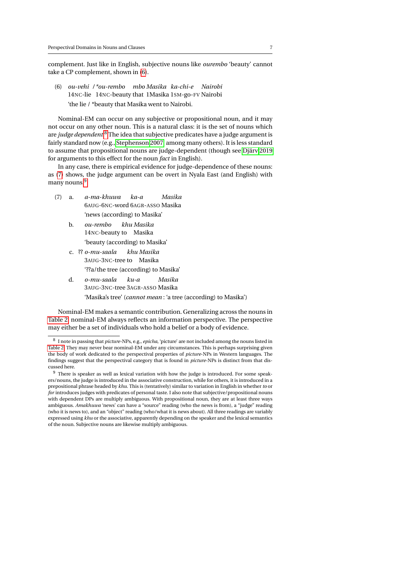complement. Just like in English, subjective nouns like *ourembo* 'beauty' cannot take a CP complement, shown in [\(6\)](#page-6-0).

<span id="page-6-0"></span>(6) *ou-vehi / \*ou-rembo mbo Masika ka-chi-e Nairobi* 14NC-lie 14NC-beauty that 1Masika 1SM-go-FV Nairobi 'the lie / \*beauty that Masika went to Nairobi.

Nominal-EM can occur on any subjective or propositional noun, and it may not occur on any other noun. This is a natural class: it is the set of nouns which are *judge dependent*. [8](#page-6-1) The idea that subjective predicates have a judge argument is fairly standard now (e.g., [Stephenson 2007,](#page-48-5) among many others). It is less standard to assume that propositional nouns are judge-dependent (though see [Djärv 2019](#page-45-6) for arguments to this effect for the noun *fact* in English).

In any case, there is empirical evidence for judge-dependence of these nouns: as [\(7\)](#page-6-2) shows, the judge argument can be overt in Nyala East (and English) with many nouns.<sup>[9](#page-6-3)</sup>

- <span id="page-6-2"></span>(7) a. *a-ma-khuwa* 6AUG-6NC-word 6AGR-ASSO Masika *ka-a Masika* 'news (according) to Masika'
	- b. *ou-rembo* 14NC-beauty to Masika *khu Masika* 'beauty (according) to Masika'
	- c. ?? *o-mu-saala* 3AUG-3NC-tree to Masika *khu Masika* '??a/the tree (according) to Masika'
	- d. *o-mu-saala* 3AUG-3NC-tree 3AGR-ASSO Masika *ku-a Masika* 'Masika's tree' (*cannot mean* : 'a tree (according) to Masika')

Nominal-EM makes a semantic contribution. Generalizing across the nouns in [Table 2,](#page-5-2) nominal-EM always reflects an information perspective. The perspective may either be a set of individuals who hold a belief or a body of evidence.

<span id="page-6-1"></span><sup>8</sup> I note in passing that *picture-*NPs, e.g., *epicha*, 'picture' are not included among the nouns listed in [Table 2.](#page-5-2) They may never bear nominal-EM under any circumstances. This is perhaps surprising given the body of work dedicated to the perspectival properties of *picture*-NPs in Western languages. The findings suggest that the perspectival category that is found in *picture*-NPs is distinct from that discussed here.

<span id="page-6-3"></span><sup>&</sup>lt;sup>9</sup> There is speaker as well as lexical variation with how the judge is introduced. For some speakers/nouns, the judge is introduced in the associative construction, while for others, it is introduced in a prepositional phrase headed by *khu*. This is (tentatively) similar to variation in English in whether *to* or *for* introduces judges with predicates of personal taste. I also note that subjective/propositional nouns with dependent DPs are multiply ambiguous. With propositional noun, they are at least three ways ambiguous. *Amakhuwa* 'news' can have a "source" reading (who the news is from), a "judge" reading (who it is news to), and an "object" reading (who/what it is news about). All three readings are variably expressed using *khu* or the associative, apparently depending on the speaker and the lexical semantics of the noun. Subjective nouns are likewise multiply ambiguous.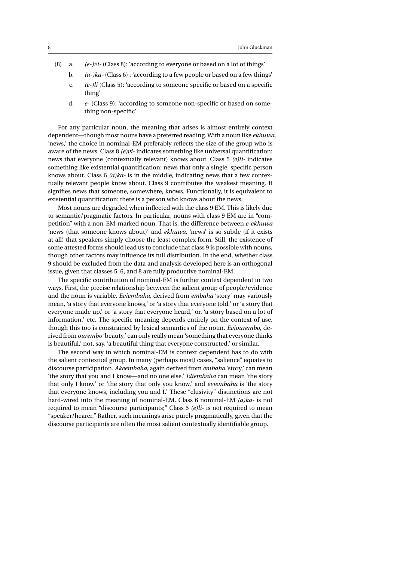- (8) a. *(e-)vi-* (Class 8): 'according to everyone or based on a lot of things'
	- b. *(a-)ka-* (Class 6) : 'according to a few people or based on a few things'
	- c. *(e-)li* (Class 5): 'according to someone specific or based on a specific thing'
	- d. *e-* (Class 9): 'according to someone non-specific or based on something non-specific'

For any particular noun, the meaning that arises is almost entirely context dependent—though most nouns have a preferred reading. With a noun like *ekhuwa*, 'news,' the choice in nominal-EM preferably reflects the size of the group who is aware of the news. Class 8 *(e)vi-* indicates something like universal quantification: news that everyone (contextually relevant) knows about. Class 5 *(e)li-* indicates something like existential quantification: news that only a single, specific person knows about. Class 6 *(a)ka-* is in the middle, indicating news that a few contextually relevant people know about. Class 9 contributes the weakest meaning. It signifies news that someone, somewhere, knows. Functionally, it is equivalent to existential quantification: there is a person who knows about the news.

Most nouns are degraded when inflected with the class 9 EM. This is likely due to semantic/pragmatic factors. In particular, nouns with class 9 EM are in "competition" with a non-EM-marked noun. That is, the difference between *e-ekhuwa* 'news (that someone knows about)' and *ekhuwa*, 'news' is so subtle (if it exists at all) that speakers simply choose the least complex form. Still, the existence of some attested forms should lead us to conclude that class 9 is possible with nouns, though other factors may influence its full distribution. In the end, whether class 9 should be excluded from the data and analysis developed here is an orthogonal issue, given that classes 5, 6, and 8 are fully productive nominal-EM.

The specific contribution of nominal-EM is further context dependent in two ways. First, the precise relationship between the salient group of people/evidence and the noun is variable. *Eviembaha*, derived from *embaha* 'story' may variously mean, 'a story that everyone knows,' or 'a story that everyone told,' or 'a story that everyone made up,' or 'a story that everyone heard,' or, 'a story based on a lot of information,' etc. The specific meaning depends entirely on the context of use, though this too is constrained by lexical semantics of the noun. *Eviourembo*, derived from *ourembo* 'beauty,' can only really mean 'something that everyone thinks is beautiful,' not, say, 'a beautiful thing that everyone constructed,' or similar.

The second way in which nominal-EM is context dependent has to do with the salient contextual group. In many (perhaps most) cases, "salience" equates to discourse participation. *Akeembaha*, again derived from *embaha* 'story,' can mean 'the story that you and I know—and no one else.' *Eliembaha* can mean 'the story that only I know' or 'the story that only you know,' and *eviembaha* is 'the story that everyone knows, including you and I.' These "clusivity" distinctions are not hard-wired into the meaning of nominal-EM. Class 6 nominal-EM *(a)ka-* is not required to mean "discourse participants;" Class 5 *(e)li-* is not required to mean "speaker/hearer." Rather, such meanings arise purely pragmatically, given that the discourse participants are often the most salient contextually identifiable group.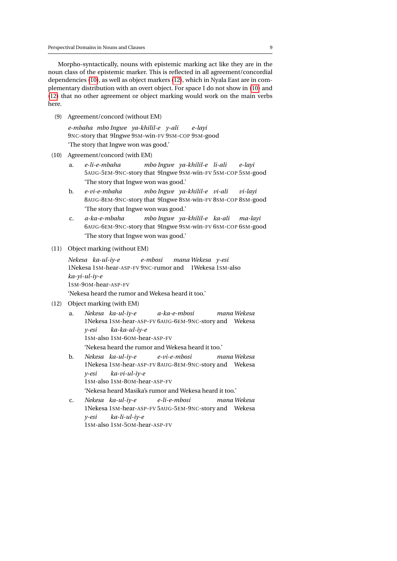Morpho-syntactically, nouns with epistemic marking act like they are in the noun class of the epistemic marker. This is reflected in all agreement/concordial dependencies [\(10\)](#page-8-0), as well as object markers [\(12\)](#page-8-1), which in Nyala East are in complementary distribution with an overt object. For space I do not show in [\(10\)](#page-8-0) and [\(12\)](#page-8-1) that no other agreement or object marking would work on the main verbs here.

<span id="page-8-2"></span>(9) Agreement/concord (without EM)

*e-mbaha mbo Ingwe ya-khilil-e y-ali* 9NC-story that 9Ingwe 9SM-win-FV 9SM-COP 9SM-good *e-layi* 'The story that Ingwe won was good.'

- <span id="page-8-0"></span>(10) Agreement/concord (with EM)
	- a. *e-li-e-mbaha* 5AUG-5EM-9NC-story that 9Ingwe 9SM-win-FV 5SM-COP 5SM-good *mbo Ingwe ya-khilil-e li-ali e-layi* 'The story that Ingwe won was good.'
	- b. *e-vi-e-mbaha* 8AUG-8EM-9NC-story that 9Ingwe 8SM-win-FV 8SM-COP 8SM-good *mbo Ingwe ya-khilil-e vi-ali vi-layi* 'The story that Ingwe won was good.'
	- c. *a-ka-e-mbaha* 6AUG-6EM-9NC-story that 9Ingwe 9SM-win-FV 6SM-COP 6SM-good *mbo Ingwe ya-khilil-e ka-ali ma-layi* 'The story that Ingwe won was good.'

## (11) Object marking (without EM)

*Nekesa ka-ul-iy-e* 1Nekesa 1SM-hear-ASP-FV 9NC-rumor and 1Wekesa 1SM-also *e-mbosi mana Wekesa y-esi ka-yi-ul-iy-e* 1SM-9OM-hear-ASP-FV 'Nekesa heard the rumor and Wekesa heard it too.'

- <span id="page-8-1"></span>(12) Object marking (with EM)
	- a. *Nekesa ka-ul-iy-e* 1Nekesa 1SM-hear-ASP-FV 6AUG-6EM-9NC-story and Wekesa *a-ka-e-mbosi mana Wekesa y-esi* 1SM-also 1SM-6OM-hear-ASP-FV *ka-ka-ul-iy-e* 'Nekesa heard the rumor and Wekesa heard it too.'
	- b. *Nekesa ka-ul-iy-e* 1Nekesa 1SM-hear-ASP-FV 8AUG-8EM-9NC-story and Wekesa *e-vi-e-mbosi mana Wekesa y-esi* 1SM-also 1SM-8OM-hear-ASP-FV *ka-vi-ul-iy-e* 'Nekesa heard Masika's rumor and Wekesa heard it too.'
	- c. *Nekesa ka-ul-iy-e* 1Nekesa 1SM-hear-ASP-FV 5AUG-5EM-9NC-story and Wekesa *e-li-e-mbosi mana Wekesa y-esi* 1SM-also 1SM-5OM-hear-ASP-FV*ka-li-ul-iy-e*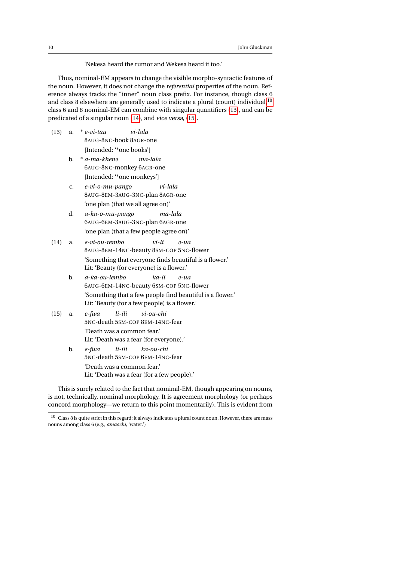'Nekesa heard the rumor and Wekesa heard it too.'

Thus, nominal-EM appears to change the visible morpho-syntactic features of the noun. However, it does not change the *referential* properties of the noun. Reference always tracks the "inner" noun class prefix. For instance, though class 6 and class 8 elsewhere are generally used to indicate a plural (count) individual, <sup>[10](#page-9-0)</sup> class 6 and 8 nominal-EM can combine with singular quantifiers [\(13\)](#page-9-1), and can be predicated of a singular noun [\(14\)](#page-9-2), and vice versa, [\(15\)](#page-9-3).

- <span id="page-9-1"></span>(13) a. \* *e-vi-tau* 8AUG-8NC-book 8AGR-one *vi-lala* [Intended: '\*one books']
	- b. \* *a-ma-khene* 6AUG-8NC-monkey 6AGR-one *ma-lala* [Intended: '\*one monkeys']
	- c. *e-vi-o-mu-pango* 8AUG-8EM-3AUG-3NC-plan 8AGR-one *vi-lala* 'one plan (that we all agree on)'
	- d. *a-ka-o-mu-pango* 6AUG-6EM-3AUG-3NC-plan 6AGR-one *ma-lala* 'one plan (that a few people agree on)'
- <span id="page-9-2"></span>(14) a. *e-vi-ou-rembo* 8AUG-8EM-14NC-beauty 8SM-COP 5NC-flower *vi-li e-ua* 'Something that everyone finds beautiful is a flower.' Lit: 'Beauty (for everyone) is a flower.'
	- b. *a-ka-ou-lembo* 6AUG-6EM-14NC-beauty 6SM-COP 5NC-flower *ka-li e-ua* 'Something that a few people find beautiful is a flower.' Lit: 'Beauty (for a few people) is a flower.'
- <span id="page-9-3"></span>(15) a. *e-fwa* 5NC-death 5SM-COP 8EM-14NC-fear *li-ili vi-ou-chi*

'Death was a common fear.' Lit: 'Death was a fear (for everyone).'

b. *e-fwa* 5NC-death 5SM-COP 6EM-14NC-fear *li-ili ka-ou-chi* 'Death was a common fear.' Lit: 'Death was a fear (for a few people).'

This is surely related to the fact that nominal-EM, though appearing on nouns, is not, technically, nominal morphology. It is agreement morphology (or perhaps concord morphology—we return to this point momentarily). This is evident from

<span id="page-9-0"></span> $10$  Class 8 is quite strict in this regard: it always indicates a plural count noun. However, there are mass nouns among class 6 (e.g., *amaachi*, 'water.')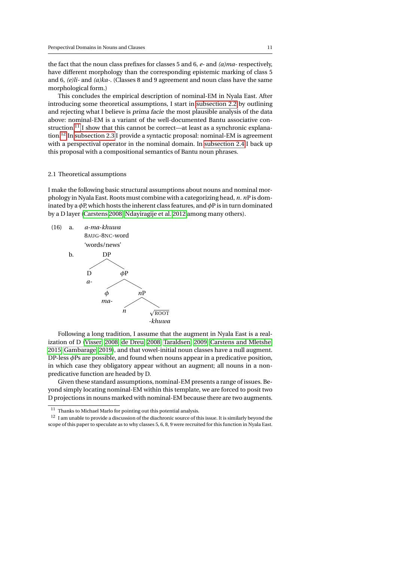the fact that the noun class prefixes for classes 5 and 6, *e-* and *(a)ma-* respectively, have different morphology than the corresponding epistemic marking of class 5 and 6, *(e)li-* and *(a)ka-*. (Classes 8 and 9 agreement and noun class have the same morphological form.)

This concludes the empirical description of nominal-EM in Nyala East. After introducing some theoretical assumptions, I start in [subsection 2.2](#page-11-0) by outlining and rejecting what I believe is prima facie the most plausible analysis of the data above: nominal-EM is a variant of the well-documented Bantu associative con-struction.<sup>[11](#page-10-0)</sup> I show that this cannot be correct—at least as a synchronic explanation.[12](#page-10-1) In [subsection 2.3](#page-15-0) I provide a syntactic proposal: nominal-EM is agreement with a perspectival operator in the nominal domain. In [subsection 2.4](#page-18-0) I back up this proposal with a compositional semantics of Bantu noun phrases.

#### 2.1 Theoretical assumptions

I make the following basic structural assumptions about nouns and nominal morphology in Nyala East. Roots must combine with a categorizing head, *n*. *n*P is dominated by a  $\phi$ P, which hosts the inherent class features, and  $\phi$ P is in turn dominated by a D layer [\(Carstens 2008;](#page-44-1) [Ndayiragije et al. 2012](#page-47-5) among many others).



Following a long tradition, I assume that the augment in Nyala East is a realization of D [\(Visser, 2008;](#page-48-6) [de Dreu, 2008;](#page-45-7) [Taraldsen, 2009;](#page-48-7) [Carstens and Mletshe,](#page-45-8) [2015;](#page-45-8) [Gambarage, 2019\)](#page-45-4), and that vowel-initial noun classes have a null augment. DP-less *φ*Ps are possible, and found when nouns appear in a predicative position, in which case they obligatory appear without an augment; all nouns in a nonpredicative function are headed by D.

Given these standard assumptions, nominal-EM presents a range of issues. Beyond simply locating nominal-EM within this template, we are forced to posit two D projections in nouns marked with nominal-EM because there are two augments.

<span id="page-10-0"></span> $^{11}\,$  Thanks to Michael Marlo for pointing out this potential analysis.

<span id="page-10-1"></span> $^{12}\,$  I am unable to provide a discussion of the diachronic source of this issue. It is similarly beyond the scope of this paper to speculate as to why classes 5, 6, 8, 9 were recruited for this function in Nyala East.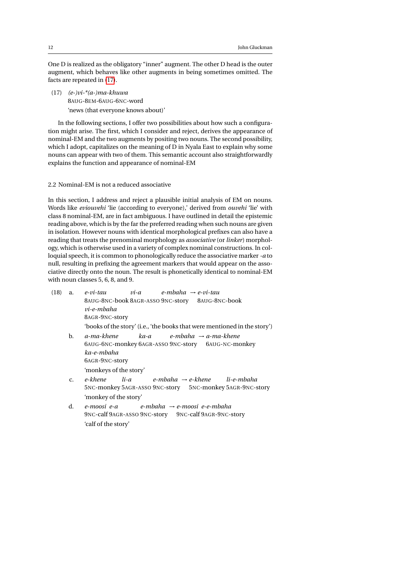One D is realized as the obligatory "inner" augment. The other D head is the outer augment, which behaves like other augments in being sometimes omitted. The facts are repeated in [\(17\)](#page-11-1).

<span id="page-11-1"></span>(17) *(e-)vi-\*(a-)ma-khuwa* 8AUG-8EM-6AUG-6NC-word 'news (that everyone knows about)'

In the following sections, I offer two possibilities about how such a configuration might arise. The first, which I consider and reject, derives the appearance of nominal-EM and the two augments by positing two nouns. The second possibility, which I adopt, capitalizes on the meaning of D in Nyala East to explain why some nouns can appear with two of them. This semantic account also straightforwardly explains the function and appearance of nominal-EM

<span id="page-11-0"></span>2.2 Nominal-EM is not a reduced associative

In this section, I address and reject a plausible initial analysis of EM on nouns. Words like *eviouvehi* 'lie (according to everyone),' derived from *ouvehi* 'lie' with class 8 nominal-EM, are in fact ambiguous. I have outlined in detail the epistemic reading above, which is by the far the preferred reading when such nouns are given in isolation. However nouns with identical morphological prefixes can also have a reading that treats the prenominal morphology as *associative* (or *linker*) morphology, which is otherwise used in a variety of complex nominal constructions. In colloquial speech, it is common to phonologically reduce the associative marker *-a* to null, resulting in prefixing the agreement markers that would appear on the associative directly onto the noun. The result is phonetically identical to nominal-EM with noun classes 5, 6, 8, and 9.

- (18) a. *e-vi-tau* 8AUG-8NC-book 8AGR-ASSO 9NC-story 8AUG-8NC-book *vi-a e-mbaha* → *e-vi-tau vi-e-mbaha* 8AGR-9NC-story 'books of the story' (i.e., 'the books that were mentioned in the story') b. *a-ma-khene* 6AUG-6NC-monkey 6AGR-ASSO 9NC-story 6AUG-NC-monkey *ka-a e-mbaha* → *a-ma-khene*
	- *ka-e-mbaha* 6AGR-9NC-story 'monkeys of the story'
	- c. *e-khene* 5NC-monkey 5AGR-ASSO 9NC-story 5NC-monkey 5AGR-9NC-story *li-a e-mbaha* → *e-khene li-e-mbaha* 'monkey of the story'
	- d. *e-moosi e-a* 9NC-calf 9AGR-ASSO 9NC-story 9NC-calf 9AGR-9NC-story *e-mbaha* → *e-moosi e-e-mbaha* 'calf of the story'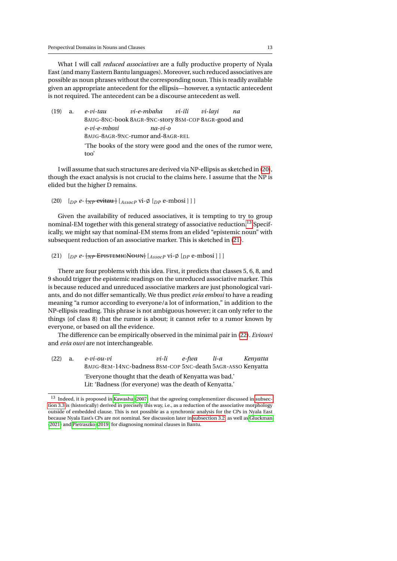What I will call *reduced associatives* are a fully productive property of Nyala East (and many Eastern Bantu languages). Moreover, such reduced associatives are possible as noun phrases without the corresponding noun. This is readily available given an appropriate antecedent for the ellipsis—however, a syntactic antecedent is not required. The antecedent can be a discourse antecedent as well.

(19) a. *e-vi-tau* 8AUG-8NC-book 8AGR-9NC-story 8SM-COP 8AGR-good and *vi-e-mbaha vi-ili vi-layi na e-vi-e-mbosi* 8AUG-8AGR-9NC-rumor and-8AGR-REL *na-vi-o* 'The books of the story were good and the ones of the rumor were, too'

I will assume that such structures are derived via NP-ellipsis as sketched in [\(20\)](#page-12-0), though the exact analysis is not crucial to the claims here. I assume that the NP is elided but the higher D remains.

```
(20) [p^p e - \frac{1}{2} \frac{1}{2} \frac{1}{2} \frac{1}{2} \frac{1}{2} \frac{1}{2} \frac{1}{2} \frac{1}{2} \frac{1}{2} \frac{1}{2} \frac{1}{2} \frac{1}{2} \frac{1}{2} \frac{1}{2} \frac{1}{2} \frac{1}{2} \frac{1}{2} \frac{1}{2} \frac{1}{2} \frac{1}{2} \frac{1}{2} \frac{1}{2} \frac{1}{2} \frac{1}{2} \frac{1}{2} \frac{1}{2} \frac{1}{2} \frac{1}{2} \frac{1}{2} \frac{1}{2}
```
Given the availability of reduced associatives, it is tempting to try to group nominal-EM together with this general strategy of associative reduction.<sup>[13](#page-12-1)</sup> Specifically, we might say that nominal-EM stems from an elided "epistemic noun" with subsequent reduction of an associative marker. This is sketched in [\(21\)](#page-12-2).

```
(21) [p^e - \{ \overline{NP} \overline{EPISTEMICNOWLED}] \} [A_{ssocP} \overline{V} \cdot \emptyset \} [p^e \overline{P} \cdot \overline{P} \cdot \overline{P} \cdot \overline{P}]
```
There are four problems with this idea. First, it predicts that classes 5, 6, 8, and 9 should trigger the epistemic readings on the unreduced associative marker. This is because reduced and unreduced associative markers are just phonological variants, and do not differ semantically. We thus predict *evia embosi* to have a reading meaning "a rumor according to everyone/a lot of information," in addition to the NP-ellipsis reading. This phrase is not ambiguous however; it can only refer to the things (of class 8) that the rumor is about; it cannot refer to a rumor known by everyone, or based on all the evidence.

The difference can be empirically observed in the minimal pair in [\(22\)](#page-12-3). *Eviouvi* and *evia ouvi* are not interchangeable.

<span id="page-12-3"></span>

| (22) | a. | e-vi-ou-vi                                                 | vi-li | e-fiva | li-a | Kenyatta |
|------|----|------------------------------------------------------------|-------|--------|------|----------|
|      |    | 8AUG-8EM-14NC-badness 8SM-COP 5NC-death 5AGR-ASSO Kenyatta |       |        |      |          |
|      |    | 'Everyone thought that the death of Kenyatta was bad.'     |       |        |      |          |
|      |    | Lit: 'Badness (for everyone) was the death of Kenyatta.'   |       |        |      |          |

<span id="page-12-1"></span><sup>13</sup> Indeed, it is proposed in [Kawasha](#page-46-8) [\(2007\)](#page-46-8) that the agreeing complementizer discussed in [subsec](#page-35-0)[tion 3.3](#page-35-0) is (historically) derived in precisely this way, i.e., as a reduction of the associative morphology outside of embedded clause. This is not possible as a synchronic analysis for the CPs in Nyala East because Nyala East's CPs are not nominal. See discussion later in [subsection 3.2,](#page-33-0) as well as [Gluckman](#page-46-5) [\(2021\)](#page-46-5) and [Pietraszko](#page-47-2) [\(2019\)](#page-47-2) for diagnosing nominal clauses in Bantu.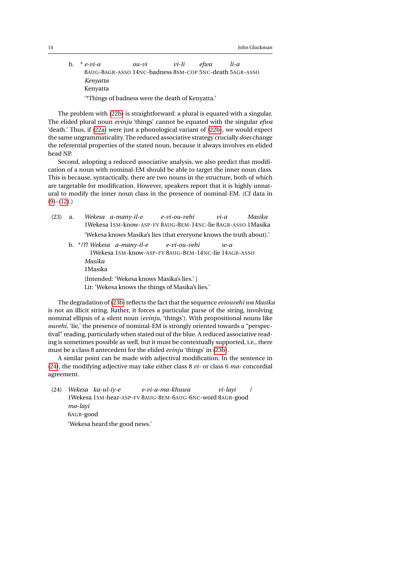<span id="page-13-0"></span>14 John Gluckman and the United States of the United States of the United States of the United States of the U

b. \* *e-vi-a* 8AUG-8AGR-ASSO 14NC-badness 8SM-COP 5NC-death 5AGR-ASSO *ou-vi vi-li efwa li-a Kenyatta* Kenyatta '\*Things of badness were the death of Kenyatta.'

The problem with [\(22b\)](#page-13-0) is straightforward: a plural is equated with a singular. The elided plural noun *evinju* 'things' cannot be equated with the singular *efwa* 'death.' Thus, if [\(22a\)](#page-12-3) were just a phonological variant of [\(22b\)](#page-13-0), we would expect the same ungrammaticality. The reduced associative strategy crucially *does* change the referential properties of the stated noun, because it always involves en elided head NP.

Second, adopting a reduced associative analysis, we also predict that modification of a noun with nominal-EM should be able to target the inner noun class. This is because, syntactically, there are two nouns in the structure, both of which are targetable for modification. However, speakers report that it is highly unnatural to modify the inner noun class in the presence of nominal-EM. (Cf data in  $(9)-(12)$  $(9)-(12)$  $(9)-(12)$ .

<span id="page-13-1"></span>

| (23) | a. |                    | Wekesa a-many-il-e e-vi-ou-vehi                                                                    | $vi-a$ | Masika |
|------|----|--------------------|----------------------------------------------------------------------------------------------------|--------|--------|
|      |    |                    | 1Wekesa 1SM-know-ASP-FV 8AUG-8EM-14NC-lie 8AGR-ASSO 1Masika                                        |        |        |
|      |    |                    | 'Wekesa knows Masika's lies (that everyone knows the truth about).'                                |        |        |
|      |    |                    | b. $*/$ ?? Wekesa a-many-il-e e-vi-ou-vehi<br>1Wekesa 1SM-know-ASP-FV 8AUG-8EM-14NC-lie 14AGR-ASSO | $w-a$  |        |
|      |    | Masika<br>1 Masika |                                                                                                    |        |        |
|      |    |                    | [Intended: 'Wekesa knows Masika's lies.']<br>Lit: 'Wekesa knows the things of Masika's lies.'      |        |        |

The degradation of [\(23b\)](#page-13-1) reflects the fact that the sequence *eviouvehi wa Masika* is not an illicit string. Rather, it forces a particular parse of the string, involving nominal ellipsis of a silent noun (*evinju*, 'things'). With propositional nouns like *ouvehi*, 'lie,' the presence of nominal-EM is strongly oriented towards a "perspectival" reading, particularly when stated out of the blue. A reduced associative reading is sometimes possible as well, but it must be contextually supported, i.e., there must be a class 8 antecedent for the elided *evinju* 'things' in [\(23b\)](#page-13-1).

A similar point can be made with adjectival modification. In the sentence in [\(24\)](#page-13-2), the modifying adjective may take either class 8 *vi-* or class 6 *ma-* concordial agreement.

<span id="page-13-2"></span>(24) *Wekesa ka-ul-iy-e* 1Wekesa 1SM-hear-ASP-FV 8AUG-8EM-6AUG-6NC-word 8AGR-good *e-vi-a-ma-khuwa vi-layi / ma-layi* 6AGR-good 'Wekesa heard the good news.'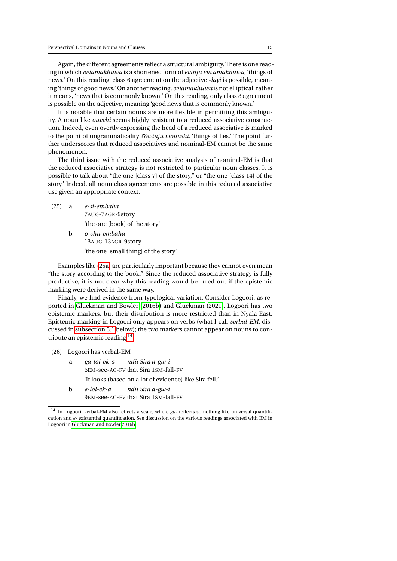Again, the different agreements reflect a structural ambiguity. There is one reading in which *eviamakhuwa* is a shortened form of *evinju via amakhuwa*, 'things of news.' On this reading, class 6 agreement on the adjective *-layi* is possible, meaning 'things of good news.' On another reading, *eviamakhuwa* is not elliptical, rather it means, 'news that is commonly known.' On this reading, only class 8 agreement is possible on the adjective, meaning 'good news that is commonly known.'

It is notable that certain nouns are more flexible in permitting this ambiguity. A noun like *ouvehi* seems highly resistant to a reduced associative construction. Indeed, even overtly expressing the head of a reduced associative is marked to the point of ungrammaticality *??evinju viouvehi*, 'things of lies.' The point further underscores that reduced associatives and nominal-EM cannot be the same phenomenon.

The third issue with the reduced associative analysis of nominal-EM is that the reduced associative strategy is not restricted to particular noun classes. It is possible to talk about "the one [class 7] of the story," or "the one [class 14] of the story.' Indeed, all noun class agreements are possible in this reduced associative use given an appropriate context.

<span id="page-14-0"></span>(25) a. *e-si-embaha* 7AUG-7AGR-9story

'the one [book] of the story'

b. *o-chu-embaha* 13AUG-13AGR-9story 'the one [small thing] of the story'

Examples like [\(25a\)](#page-14-0) are particularly important because they cannot even mean "the story according to the book." Since the reduced associative strategy is fully productive, it is not clear why this reading would be ruled out if the epistemic marking were derived in the same way.

Finally, we find evidence from typological variation. Consider Logoori, as reported in [Gluckman and Bowler](#page-46-4) [\(2016b\)](#page-46-4) and [Gluckman](#page-46-5) [\(2021\)](#page-46-5). Logoori has two epistemic markers, but their distribution is more restricted than in Nyala East. Epistemic marking in Logoori only appears on verbs (what I call *verbal-EM*, discussed in [subsection 3.1](#page-27-1) below); the two markers cannot appear on nouns to contribute an epistemic reading.[14](#page-14-1)

- (26) Logoori has verbal-EM
	- a. *ga-lol-ek-a* 6EM-see-AC-FV that Sira 1SM-fall-FV *ndii Sira a-gw-i* 'It looks (based on a lot of evidence) like Sira fell.'
	- b. *e-lol-ek-a* 9EM-see-AC-FV that Sira 1SM-fall-FV *ndii Sira a-gw-i*

<span id="page-14-1"></span><sup>14</sup> In Logoori, verbal-EM also reflects a scale, where *ga-* reflects something like universal quantification and *e-* existential quantification. See discussion on the various readings associated with EM in Logoori in [Gluckman and Bowler 2016b.](#page-46-4)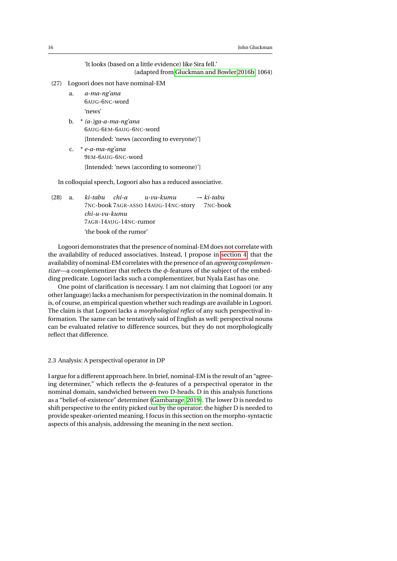'It looks (based on a little evidence) like Sira fell.' (adapted from [Gluckman and Bowler 2016b,](#page-46-4) 1064)

- (27) Logoori does not have nominal-EM
	- a. *a-ma-ng'ana* 6AUG-6NC-word 'news'
	- b. \* *(a-)ga-a-ma-ng'ana* 6AUG-6EM-6AUG-6NC-word
		- [Intended: 'news (according to everyone)']
	- c. \* *e-a-ma-ng'ana* 9EM-6AUG-6NC-word [Intended: 'news (according to someone)']

In colloquial speech, Logoori also has a reduced associative.

(28) a. *ki-tabu* 7NC-book 7AGR-ASSO 14AUG-14NC-story 7NC-book *chi-a u-vu-kumu* → *ki-tabu chi-u-vu-kumu* 7AGR-14AUG-14NC-rumor 'the book of the rumor'

Logoori demonstrates that the presence of nominal-EM does not correlate with the availability of reduced associatives. Instead, I propose in [section 4,](#page-41-0) that the availability of nominal-EM correlates with the presence of an *agreeing complementizer*—a complementizer that reflects the  $\phi$ -features of the subject of the embedding predicate. Logoori lacks such a complementizer, but Nyala East has one.

One point of clarification is necessary. I am not claiming that Logoori (or any other language) lacks a mechanism for perspectivization in the nominal domain. It is, of course, an empirical question whether such readings are available in Logoori. The claim is that Logoori lacks a *morphological reflex* of any such perspectival information. The same can be tentatively said of English as well: perspectival nouns can be evaluated relative to difference sources, but they do not morphologically reflect that difference.

## <span id="page-15-0"></span>2.3 Analysis: A perspectival operator in DP

I argue for a different approach here. In brief, nominal-EM is the result of an "agreeing determiner," which reflects the  $\phi$ -features of a perspectival operator in the nominal domain, sandwiched between two D-heads. D in this analysis functions as a "belief-of-existence" determiner [\(Gambarage, 2019\)](#page-45-4). The lower D is needed to shift perspective to the entity picked out by the operator; the higher D is needed to provide speaker-oriented meaning. I focus in this section on the morpho-syntactic aspects of this analysis, addressing the meaning in the next section.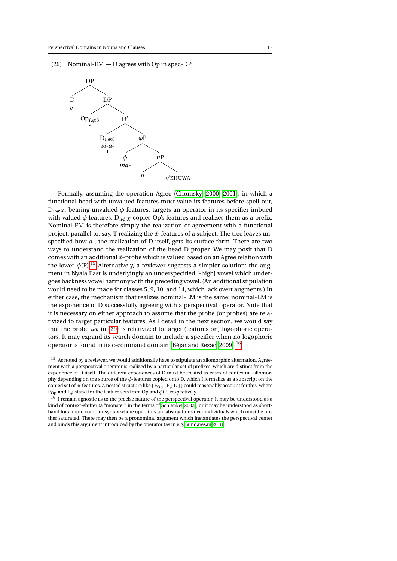<span id="page-16-1"></span>(29) Nominal-EM  $\rightarrow$  D agrees with Op in spec-DP



Formally, assuming the operation Agree [\(Chomsky, 2000,](#page-45-9) [2001\)](#page-45-10), in which a functional head with unvalued features must value its features before spell-out,  $D_{u\phi:X}$ , bearing unvalued  $\phi$  features, targets an operator in its specifier imbued with valued  $\phi$  features.  $D_{u\phi:X}$  copies Op's features and realizes them as a prefix. Nominal-EM is therefore simply the realization of agreement with a functional project, parallel to, say, T realizing the  $\phi$ -features of a subject. The tree leaves unspecified how *a-*, the realization of D itself, gets its surface form. There are two ways to understand the realization of the head D proper. We may posit that D comes with an additional *φ*-probe which is valued based on an Agree relation with the lower  $\phi(P)$ .<sup>[15](#page-16-0)</sup> Alternatively, a reviewer suggests a simpler solution: the augment in Nyala East is underlyingly an underspecified [-high] vowel which undergoes backness vowel harmony with the preceding vowel. (An additional stipulation would need to be made for classes 5, 9, 10, and 14, which lack overt augments.) In either case, the mechanism that realizes nominal-EM is the same: nominal-EM is the exponence of D successfully agreeing with a perspectival operator. Note that it is necessary on either approach to assume that the probe (or probes) are relativized to target particular features. As I detail in the next section, we would say that the probe *uφ* in [\(29\)](#page-16-1) is relativized to target (features on) logophoric operators. It may expand its search domain to include a specifier when no logophoric operator is found in its c-command domain [\(Béjar and Rezac, 2009\)](#page-44-2).[16](#page-16-2)

<span id="page-16-0"></span> $^{15}\,$  As noted by a reviewer, we would additionally have to stipulate an allomorphic alternation. Agreement with a perspectival operator is realized by a particular set of prefixes, which are distinct from the exponence of D itself. The different exponences of D must be treated as cases of contextual allomorphy depending on the source of the *φ*-features copied onto D, which I formalize as a subscript on the copied set of  $\phi$ -features. A nested structure like [ $F_{Op}$  [ $F_{\phi}$  D]] could reasonably account for this, where F<sub>Op</sub> and F<sub>φ</sub> stand for the feature sets from Op and  $\bar{\phi}$ (P) respectively.

<span id="page-16-2"></span> $16$  I remain agnostic as to the precise nature of the perspectival operator. It may be understood as a kind of context-shifter (a "monster" in the terms of [Schlenker 2003\)](#page-47-6), or it may be understood as shorthand for a more complex syntax where operators are abstractions over individuals which must be further saturated. There may then be a pronominal argument which instantiates the perspectival center and binds this argument introduced by the operator (as in e.g. [Sundaresan 2018\)](#page-48-2).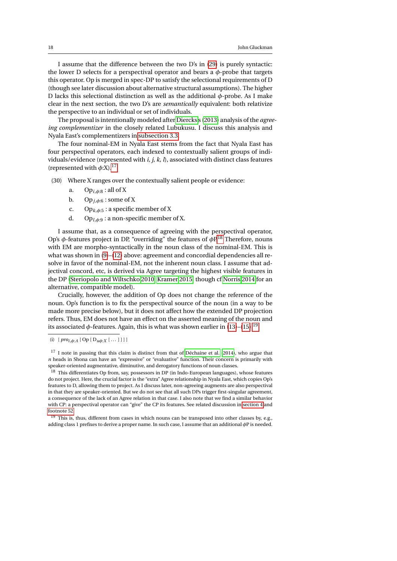I assume that the difference between the two D's in [\(29\)](#page-16-1) is purely syntactic: the lower D selects for a perspectival operator and bears a *φ*-probe that targets this operator. Op is merged in spec-DP to satisfy the selectional requirements of D (though see later discussion about alternative structural assumptions). The higher D lacks this selectional distinction as well as the additional *φ*-probe. As I make clear in the next section, the two D's are *semantically* equivalent: both relativize the perspective to an individual or set of individuals.

The proposal is intentionally modeled after [Diercks'](#page-45-3)s [\(2013\)](#page-45-3) analysis of the *agreeing complementizer* in the closely related Lubukusu. I discuss this analysis and Nyala East's complementizers in [subsection 3.3.](#page-35-0)

The four nominal-EM in Nyala East stems from the fact that Nyala East has four perspectival operators, each indexed to contextually salient groups of individuals/evidence (represented with *i, j, k, l*), associated with distinct class features (represented with  $\phi$ :X).<sup>[17](#page-17-0)</sup>

- <span id="page-17-3"></span>(30) Where X ranges over the contextually salient people or evidence:
	- a. Op*i*,*φ*:8 : all of X
	- b. Op<sub>*i*, $\phi$ :6</sub> : some of X
	- c. Op*k*,*φ*:5 : a specific member of X
	- d. Op*l*,*φ*:9 : a non-specific member of X.

I assume that, as a consequence of agreeing with the perspectival operator, Op's  $\phi$ -features project in DP, "overriding" the features of  $\phi$ P.<sup>[18](#page-17-1)</sup> Therefore, nouns with EM are morpho-syntactically in the noun class of the nominal-EM. This is what was shown in [\(9\)](#page-8-2)–[\(12\)](#page-8-1) above: agreement and concordial dependencies all resolve in favor of the nominal-EM, not the inherent noun class. I assume that adjectival concord, etc, is derived via Agree targeting the highest visible features in the DP [\(Steriopolo and Wiltschko 2010;](#page-48-8) [Kramer 2015;](#page-46-9) though cf [Norris 2014](#page-47-7) for an alternative, compatible model).

Crucially, however, the addition of Op does not change the reference of the noun. Op's function is to fix the perspectival source of the noun (in a way to be made more precise below), but it does not affect how the extended DP projection refers. Thus, EM does not have an effect on the asserted meaning of the noun and its associated  $\phi$ -features. Again, this is what was shown earlier in [\(13\)](#page-9-1)–[\(15\)](#page-9-3).<sup>[19](#page-17-2)</sup>

<span id="page-17-0"></span><sup>17</sup> I note in passing that this claim is distinct from that of [Déchaine et al.](#page-45-11) [\(2014\)](#page-45-11), who argue that *n* heads in Shona can have an "expressive" or "evaluative" function. Their concern is primarily with speaker-oriented augmentative, diminutive, and derogatory functions of noun classes.

<span id="page-17-1"></span><sup>18</sup> This differentiates Op from, say, possessors in DP (in Indo-European languages), whose features do not project. Here, the crucial factor is the "extra" Agree relationship in Nyala East, which copies Op's features to D, allowing them to project. As I discuss later, non-agreeing augments are also perspectival in that they are speaker-oriented. But we do not see that all such DPs trigger first-singular agreement, a consequence of the lack of an Agree relation in that case. I also note that we find a similar behavior with CP: a perspectival operator can "give" the CP its features. See related discussion in [section 4](#page-41-0) and [footnote 52.](#page-41-1)

<span id="page-17-2"></span><sup>19</sup> This is, thus, different from cases in which nouns can be transposed into other classes by, e.g., adding class 1 prefixes to derive a proper name. In such case, I assume that an additional *φ*P is needed.

<sup>(</sup>i)  $[proj_{i,\phi:A} [Op [D_{\mu\phi:X} [...]]] ]$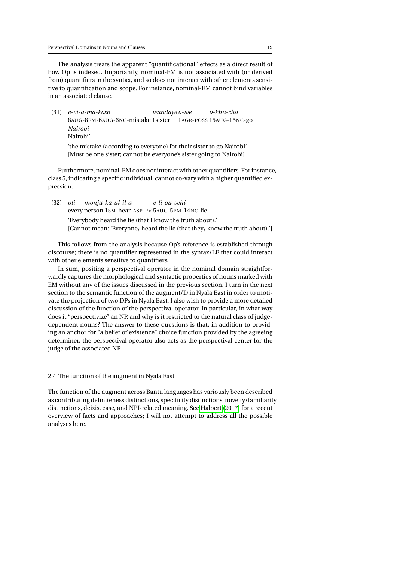The analysis treats the apparent "quantificational" effects as a direct result of how Op is indexed. Importantly, nominal-EM is not associated with (or derived from) quantifiers in the syntax, and so does not interact with other elements sensitive to quantification and scope. For instance, nominal-EM cannot bind variables in an associated clause.

(31) *e-vi-a-ma-koso* 8AUG-8EM-6AUG-6NC-mistake 1sister 1AGR-POSS 15AUG-15NC-go *wandaye o-we o-khu-cha Nairobi* Nairobi' 'the mistake (according to everyone) for their sister to go Nairobi'

[Must be one sister; cannot be everyone's sister going to Nairobi]

Furthermore, nominal-EM does not interact with other quantifiers. For instance, class 5, indicating a specific individual, cannot co-vary with a higher quantified expression.

(32) *oli* every person 1SM-hear-ASP-FV 5AUG-5EM-14NC-lie *monju ka-ul-il-a e-li-ou-vehi* 'Everybody heard the lie (that I know the truth about).' [Cannot mean: 'Everyone*<sup>i</sup>* heard the lie (that they*<sup>i</sup>* know the truth about).']

This follows from the analysis because Op's reference is established through discourse; there is no quantifier represented in the syntax/LF that could interact with other elements sensitive to quantifiers.

In sum, positing a perspectival operator in the nominal domain straightforwardly captures the morphological and syntactic properties of nouns marked with EM without any of the issues discussed in the previous section. I turn in the next section to the semantic function of the augment/D in Nyala East in order to motivate the projection of two DPs in Nyala East. I also wish to provide a more detailed discussion of the function of the perspectival operator. In particular, in what way does it "perspectivize" an NP, and why is it restricted to the natural class of judgedependent nouns? The answer to these questions is that, in addition to providing an anchor for "a belief of existence" choice function provided by the agreeing determiner, the perspectival operator also acts as the perspectival center for the judge of the associated NP.

<span id="page-18-0"></span>2.4 The function of the augment in Nyala East

The function of the augment across Bantu languages has variously been described as contributing definiteness distinctions, specificity distinctions, novelty/familiarity distinctions, deixis, case, and NPI-related meaning. See [Halpert](#page-46-7) [\(2017\)](#page-46-7) for a recent overview of facts and approaches; I will not attempt to address all the possible analyses here.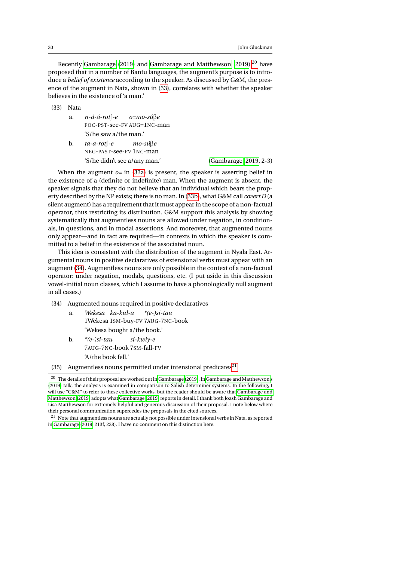Recently [Gambarage](#page-45-4) [\(2019\)](#page-45-5) and [Gambarage and Matthewson](#page-45-5) ([20](#page-19-0)19),<sup>20</sup> have proposed that in a number of Bantu languages, the augment's purpose is to introduce a *belief of existence* according to the speaker. As discussed by G&M, the presence of the augment in Nata, shown in [\(33\)](#page-19-1), correlates with whether the speaker believes in the existence of 'a man.'

<span id="page-19-2"></span><span id="page-19-1"></span>(33) Nata

- a. *n-á-á-rot*f-e FOC-PST-see-FV AUG=1NC-man *o=mo-sú*B*e* 'S/he saw a/the man.'
- <span id="page-19-3"></span>b. *ta-a-rot*f-e NEG-PAST-see-FV 1NC-man *mo-sú*B*e* 'S/he didn't see a/any man.' [\(Gambarage, 2019,](#page-45-4) 2-3)

When the augment  $o=$  in [\(33a\)](#page-19-2) is present, the speaker is asserting belief in the existence of a (definite or indefinite) man. When the augment is absent, the speaker signals that they do not believe that an individual which bears the property described by the NP exists; there is no man. In [\(33b\)](#page-19-3), what G&M call *covert D* (a silent augment) has a requirement that it must appear in the scope of a non-factual operator, thus restricting its distribution. G&M support this analysis by showing systematically that augmentless nouns are allowed under negation, in conditionals, in questions, and in modal assertions. And moreover, that augmented nouns only appear—and in fact are required—in contexts in which the speaker is committed to a belief in the existence of the associated noun.

This idea is consistent with the distribution of the augment in Nyala East. Argumental nouns in positive declaratives of extensional verbs must appear with an augment [\(34\)](#page-19-4). Augmentless nouns are only possible in the context of a non-factual operator: under negation, modals, questions, etc. (I put aside in this discussion vowel-initial noun classes, which I assume to have a phonologically null augment in all cases.)

- <span id="page-19-4"></span>(34) Augmented nouns required in positive declaratives
	- a. *Wekesa ka-kul-a* 1Wekesa 1SM-buy-FV 7AUG-7NC-book *\*(e-)si-tau* 'Wekesa bought a/the book.'
	- b. *\*(e-)si-tau* 7AUG-7NC-book 7SM-fall-FV *si-kwiy-e* 'A/the book fell.'
- (35) Augmentless nouns permitted under intensional predicates<sup>[21](#page-19-5)</sup>

<span id="page-19-0"></span> $^{\rm 20}$  The details of their proposal are worked out i[n Gambarage](#page-45-4) [\(2019\)](#page-45-4). In [Gambarage and Matthewson'](#page-45-5)s [\(2019\)](#page-45-5) talk, the analysis is examined in comparison to Salish determiner systems. In the following, I will use "G&M" to refer to these collective works, but the reader should be aware that [Gambarage and](#page-45-5) [Matthewson \(2019\)](#page-45-5) adopts what [Gambarage](#page-45-4) [\(2019\)](#page-45-4) reports in detail. I thank both Joash Gambarage and Lisa Matthewson for extremely helpful and generous discussion of their proposal. I note below where their personal communication supercedes the proposals in the cited sources.

<span id="page-19-5"></span> $21$  Note that augmentless nouns are actually not possible under intensional verbs in Nata, as reported in [Gambarage](#page-45-4) [\(2019,](#page-45-4) 213f, 228). I have no comment on this distinction here.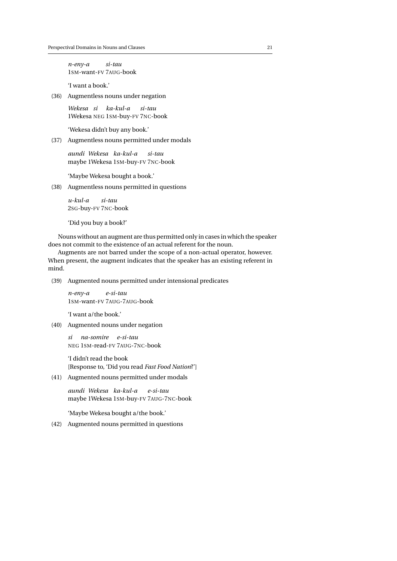*n-eny-a* 1SM-want-FV 7AUG-book *si-tau*

'I want a book.'

(36) Augmentless nouns under negation

*Wekesa si ka-kul-a* 1Wekesa NEG 1SM-buy-FV 7NC-book *si-tau*

'Wekesa didn't buy any book.'

(37) Augmentless nouns permitted under modals

*aundi Wekesa ka-kul-a* maybe 1Wekesa 1SM-buy-FV 7NC-book *si-tau*

'Maybe Wekesa bought a book.'

(38) Augmentless nouns permitted in questions

*u-kul-a* 2SG-buy-FV 7NC-book *si-tau*

'Did you buy a book?'

Nouns without an augment are thus permitted only in cases in which the speaker does not commit to the existence of an actual referent for the noun.

Augments are not barred under the scope of a non-actual operator, however. When present, the augment indicates that the speaker has an existing referent in mind.

(39) Augmented nouns permitted under intensional predicates

*n-eny-a* 1SM-want-FV 7AUG-7AUG-book *e-si-tau*

'I want a/the book.'

(40) Augmented nouns under negation

*si na-somire e-si-tau* NEG 1SM-read-FV 7AUG-7NC-book

'I didn't read the book [Response to, 'Did you read *Fast Food Nation*?']

(41) Augmented nouns permitted under modals

*aundi Wekesa ka-kul-a* maybe 1Wekesa 1SM-buy-FV 7AUG-7NC-book *e-si-tau*

'Maybe Wekesa bought a/the book.'

(42) Augmented nouns permitted in questions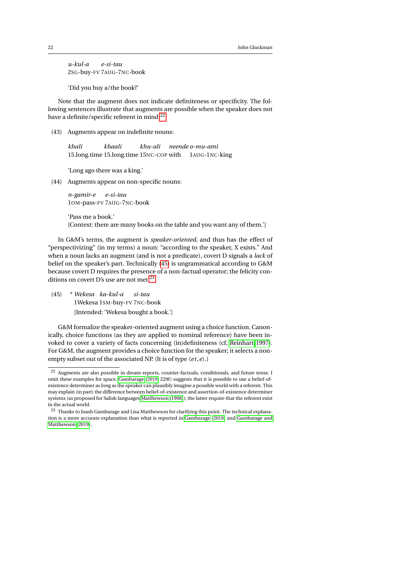*u-kul-a* 2SG-buy-FV 7AUG-7NC-book *e-si-tau*

'Did you buy a/the book?'

Note that the augment does not indicate definiteness or specificity. The following sentences illustrate that augments are possible when the speaker does not have a definite/specific referent in mind.<sup>[22](#page-21-0)</sup>

(43) Augments appear on indefinite nouns:

*khali* 15.long.time 15.long.time 15NC-COP with *khaali khu-ali neende o-mu-ami* 1AUG-1NC-king

'Long ago there was a king.'

(44) Augments appear on non-specific nouns:

*n-gamir-e* 1OM-pass-FV 7AUG-7NC-book *e-si-tau*

'Pass me a book.' [Context: there are many books on the table and you want any of them.']

In G&M's terms, the augment is *speaker-oriented,* and thus has the effect of "perspectivizing" (in my terms) a noun: "according to the speaker, X exists." And when a noun lacks an augment (and is not a predicate), covert D signals a *lack* of belief on the speaker's part. Technically [\(45\)](#page-21-1) is ungrammatical according to G&M because covert D requires the presence of a non-factual operator; the felicity con-ditions on covert D's use are not met.<sup>[23](#page-21-2)</sup>

<span id="page-21-1"></span>(45) \* *Wekesa ka-kul-a* 1Wekesa 1SM-buy-FV 7NC-book *si-tau* [Intended: 'Wekesa bought a book.']

G&M formalize the speaker-oriented augment using a choice function. Canonically, choice functions (as they are applied to nominal reference) have been invoked to cover a variety of facts concerning (in)definiteness (cf, [Reinhart 1997\)](#page-47-8). For G&M, the augment provides a choice function for the speaker; it selects a nonempty subset out of the associated NP. (It is of type 〈*e t*,*e*〉.)

<span id="page-21-0"></span><sup>&</sup>lt;sup>22</sup> Augments are also possible in dream-reports, counter-factuals, conditionals, and future tense. I omit these examples for space. [Gambarage](#page-45-4) [\(2019,](#page-45-4) 229f) suggests that it is possible to use a belief-ofexistence determiner as long as the speaker can plausibly imagine a possible world with a referent. This may explain (in part) the difference between belief-of-existence and assertion-of-existence determiner systems (as proposed for Salish languages [Matthewson](#page-47-9) [\(1998\)](#page-47-9)); the latter require that the referent exist in the actual world.

<span id="page-21-2"></span><sup>&</sup>lt;sup>23</sup> Thanks to Joash Gambarage and Lisa Matthewson for clarifying this point. The technical explanation is a more accurate explanation than what is reported in [Gambarage](#page-45-4) [\(2019\)](#page-45-4) and [Gambarage and](#page-45-5) [Matthewson](#page-45-5) [\(2019\)](#page-45-5).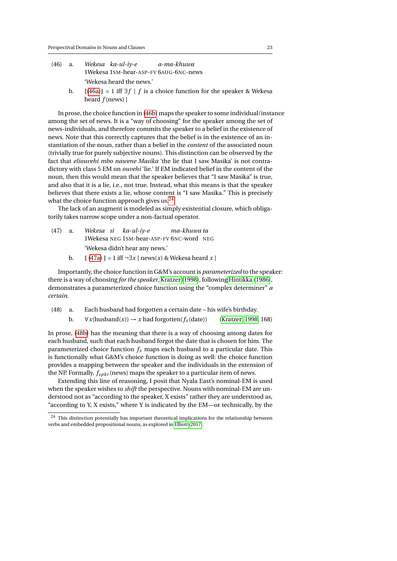- <span id="page-22-1"></span><span id="page-22-0"></span>(46) a. *Wekesa ka-ul-iy-e* 1Wekesa 1SM-hear-ASP-FV 6AUG-6NC-news *a-ma-khuwa* 'Wekesa heard the news.'
	- b. [\(46a\)](#page-22-0) = 1 iff ∃*f* [ *f* is a choice function for the speaker & Wekesa heard *f* (news) ]

In prose, the choice function in [\(46b\)](#page-22-1) maps the speaker to some individual/instance among the set of news. It is a "way of choosing" for the speaker among the set of news-individuals, and therefore commits the speaker to a belief in the existence of news. Note that this correctly captures that the belief is in the existence of an instantiation of the noun, rather than a belief in the *content* of the associated noun (trivially true for purely subjective nouns). This distinction can be observed by the fact that *eliouvehi mbo nawene Masika* 'the lie that I saw Masika' is not contradictory with class 5 EM on *ouvehi* 'lie.' If EM indicated belief in the content of the noun, then this would mean that the speaker believes that "I saw Masika" is true, and also that it is a lie, i.e., not true. Instead, what this means is that the speaker believes that there exists a lie, whose content is "I saw Masika." This is precisely what the choice function approach gives us.<sup>[24](#page-22-2)</sup>

The lack of an augment is modeled as simply existential closure, which obligatorily takes narrow scope under a non-factual operator.

- <span id="page-22-3"></span> $(47)$  a. 1Wekesa NEG 1SM-hear-ASP-FV 6NC-word NEG *si ka-ul-iy-e ma-khuwa ta* 'Wekesa didn't hear any news.'
	- b.  $[(47a)]=1$  $[(47a)]=1$  $[(47a)]=1$  iff  $\neg \exists x \ [\text{news}(x) \& \text{Wekesa heard } x]$

Importantly, the choice function in G&M's account is *parameterized* to the speaker: there is a way of choosing *for the speaker*. [Kratzer](#page-47-10) [\(1998\)](#page-47-10), following [Hintikka](#page-46-10) [\(1986\)](#page-46-10), demonstrates a parameterized choice function using the "complex determiner" *a certain*.

<span id="page-22-4"></span>(48) a. Each husband had forgotten a certain date – his wife's birthday.

b.  $\forall x$ (husband(*x*))  $\rightarrow x$  had forgotten( $f_x$ (date)) [\(Kratzer, 1998,](#page-47-10) 168)

In prose, [\(48b\)](#page-22-4) has the meaning that there is a way of choosing among dates for each husband, such that each husband forgot the date that is chosen for him. The parameterized choice function  $f_x$  maps each husband to a particular date. This is functionally what G&M's choice function is doing as well: the choice function provides a mapping between the speaker and the individuals in the extension of the NP. Formally, *fspkr* (news) maps the speaker to a particular item of news.

Extending this line of reasoning, I posit that Nyala East's nominal-EM is used when the speaker wishes to *shift* the perspective. Nouns with nominal-EM are understood not as "according to the speaker, X exists" rather they are understood as, "according to Y, X exists," where Y is indicated by the EM—or technically, by the

<span id="page-22-2"></span><sup>&</sup>lt;sup>24</sup> This distinction potentially has important theoretical implications for the relationship between verbs and embedded propositional nouns, as explored in [Elliott](#page-45-12) [\(2017\)](#page-45-12).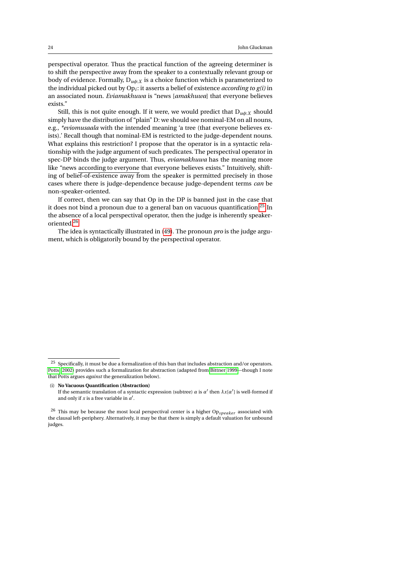perspectival operator. Thus the practical function of the agreeing determiner is to shift the perspective away from the speaker to a contextually relevant group or body of evidence. Formally, D*uφ*:*<sup>X</sup>* is a choice function which is parameterized to the individual picked out by Op*<sup>i</sup>* : it asserts a belief of existence *according to g(i)* in an associated noun. *Eviamakhuwa* is "news [*amakhuwa*] that everyone believes exists."

Still, this is not quite enough. If it were, we would predict that  $D_{u\phi:X}$  should simply have the distribution of "plain" D: we should see nominal-EM on all nouns, e.g., *\*eviomusaala* with the intended meaning 'a tree (that everyone believes exists).' Recall though that nominal-EM is restricted to the judge-dependent nouns. What explains this restriction? I propose that the operator is in a syntactic relationship with the judge argument of such predicates. The perspectival operator in spec-DP binds the judge argument. Thus, *eviamakhuwa* has the meaning more like "news according to everyone that everyone believes exists." Intuitively, shifting of belief-of-existence away from the speaker is permitted precisely in those cases where there is judge-dependence because judge-dependent terms *can* be non-speaker-oriented.

If correct, then we can say that Op in the DP is banned just in the case that it does not bind a pronoun due to a general ban on vacuous quantification.[25](#page-23-0) In the absence of a local perspectival operator, then the judge is inherently speakeroriented.[26](#page-23-1)

The idea is syntactically illustrated in [\(49\)](#page-24-0). The pronoun *pro* is the judge argument, which is obligatorily bound by the perspectival operator.

(i) **No Vacuous Quantification (Abstraction)**

<span id="page-23-0"></span> $^{25}\,$  Specifically, it must be due a formalization of this ban that includes abstraction and/or operators. [Potts](#page-47-11) [\(2002\)](#page-47-11) provides such a formalization for abstraction (adapted from [Bittner 1999—](#page-44-3)though I note that Potts argues *against* the generalization below).

If the semantic translation of a syntactic expression (subtree)  $\alpha$  is  $\alpha'$  then  $\lambda x[\alpha']$  is well-formed if and only if  $x$  is a free variable in  $a'$ .

<span id="page-23-1"></span><sup>26</sup> This may be because the most local perspectival center is a higher Op*speaker* associated with the clausal left-periphery. Alternatively, it may be that there is simply a default valuation for unbound judges.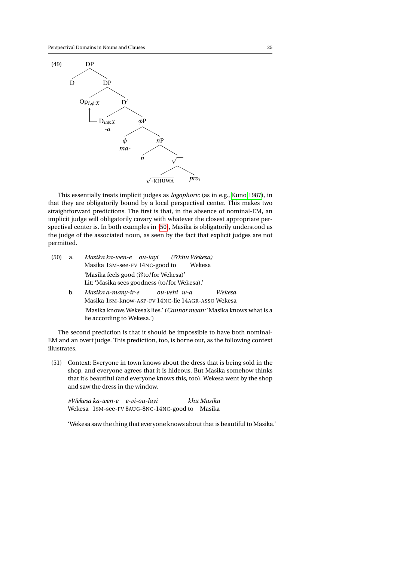<span id="page-24-0"></span>

This essentially treats implicit judges as *logophoric* (as in e.g., [Kuno 1987\)](#page-47-12), in that they are obligatorily bound by a local perspectival center. This makes two straightforward predictions. The first is that, in the absence of nominal-EM, an implicit judge will obligatorily covary with whatever the closest appropriate perspectival center is. In both examples in [\(50\)](#page-24-1), Masika is obligatorily understood as the judge of the associated noun, as seen by the fact that explicit judges are not permitted.

- <span id="page-24-1"></span>(50) a. *Masika* Masika 1SM-see-FV 14NC-good to *ka-wen-e ou-layi (??khu Wekesa)* Wekesa 'Masika feels good (??to/for Wekesa)' Lit: 'Masika sees goodness (to/for Wekesa).'
	- b. *Masika a-many-ir-e* Masika 1SM-know-ASP-FV 14NC-lie 14AGR-ASSO Wekesa *ou-vehi w-a Wekesa* 'Masika knows Wekesa's lies.' (*Cannot mean:* 'Masika knows what is a lie according to Wekesa.')

The second prediction is that it should be impossible to have both nominal-EM and an overt judge. This prediction, too, is borne out, as the following context illustrates.

<span id="page-24-2"></span>(51) Context: Everyone in town knows about the dress that is being sold in the shop, and everyone agrees that it is hideous. But Masika somehow thinks that it's beautiful (and everyone knows this, too). Wekesa went by the shop and saw the dress in the window.

*#Wekesa ka-wen-e e-vi-ou-layi* Wekesa 1SM-see-FV 8AUG-8NC-14NC-good to Masika *khu Masika*

'Wekesa saw the thing that everyone knows about that is beautiful to Masika.'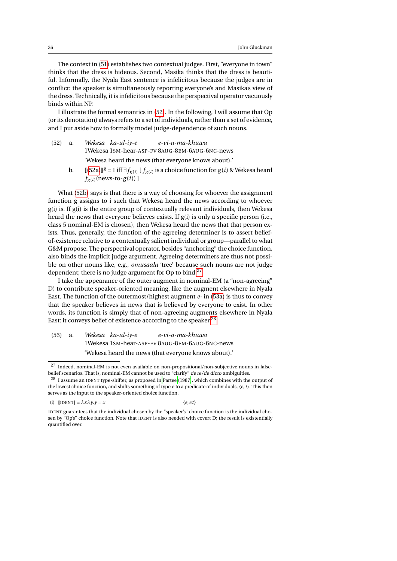The context in [\(51\)](#page-24-2) establishes two contextual judges. First, "everyone in town" thinks that the dress is hideous. Second, Masika thinks that the dress is beautiful. Informally, the Nyala East sentence is infelicitous because the judges are in conflict: the speaker is simultaneously reporting everyone's and Masika's view of the dress. Technically, it is infelicitous because the perspectival operator vacuously binds within NP.

I illustrate the formal semantics in [\(52\)](#page-25-0). In the following, I will assume that Op (or its denotation) always refers to a set of individuals, rather than a set of evidence, and I put aside how to formally model judge-dependence of such nouns.

- <span id="page-25-0"></span>(52) a. *Wekesa ka-ul-iy-e* 1Wekesa 1SM-hear-ASP-FV 8AUG-8EM-6AUG-6NC-news *e-vi-a-ma-khuwa* 'Wekesa heard the news (that everyone knows about).'
	- **b.** Ⅰ [[\(52a\)](#page-25-0)]<sup>*g*</sup> = 1 iff ∃ $f_{g(i)}$  [ $f_{g(i)}$  is a choice function for  $g(i)$  & Wekesa heard  $f_{g(i)}$ (news-to- $g(i)$ )]

<span id="page-25-1"></span>What [\(52b\)](#page-25-1) says is that there is a way of choosing for whoever the assignment function g assigns to i such that Wekesa heard the news according to whoever g(i) is. If g(i) is the entire group of contextually relevant individuals, then Wekesa heard the news that everyone believes exists. If  $g(i)$  is only a specific person (i.e., class 5 nominal-EM is chosen), then Wekesa heard the news that that person exists. Thus, generally, the function of the agreeing determiner is to assert beliefof-existence relative to a contextually salient individual or group—parallel to what G&M propose. The perspectival operator, besides "anchoring" the choice function, also binds the implicit judge argument. Agreeing determiners are thus not possible on other nouns like, e.g., *omusaala* 'tree' because such nouns are not judge dependent; there is no judge argument for Op to bind.<sup>[27](#page-25-2)</sup>

I take the appearance of the outer augment in nominal-EM (a "non-agreeing" D) to contribute speaker-oriented meaning, like the augment elsewhere in Nyala East. The function of the outermost/highest augment *e-* in [\(53a\)](#page-25-3) is thus to convey that the speaker believes in news that is believed by everyone to exist. In other words, its function is simply that of non-agreeing augments elsewhere in Nyala East: it conveys belief of existence according to the speaker.<sup>[28](#page-25-4)</sup>

<span id="page-25-3"></span>(53) a. *Wekesa ka-ul-iy-e* 1Wekesa 1SM-hear-ASP-FV 8AUG-8EM-6AUG-6NC-news *e-vi-a-ma-khuwa* 'Wekesa heard the news (that everyone knows about).'

(i) 
$$
[IDENT] = \lambda x \lambda y.y = x \qquad \langle e, et \rangle
$$

$$
\langle e, e t \rangle
$$

<span id="page-25-2"></span><sup>27</sup> Indeed, nominal-EM is not even available on non-propositional/non-subjective nouns in falsebelief scenarios. That is, nominal-EM cannot be used to "clarify" de re/de dicto ambiguities.

<span id="page-25-4"></span> $^{28}\,$  I assume an IDENT type-shifter, as proposed in [Partee](#page-47-13) [\(1987\)](#page-47-13), which combines with the output of the lowest choice function, and shifts something of type *e* to a predicate of individuals, 〈*e*,*t*〉. This then serves as the input to the speaker-oriented choice function.

IDENT guarantees that the individual chosen by the "speaker's" choice function is the individual chosen by "Op's" choice function. Note that IDENT is also needed with covert D; the result is existentially quantified over.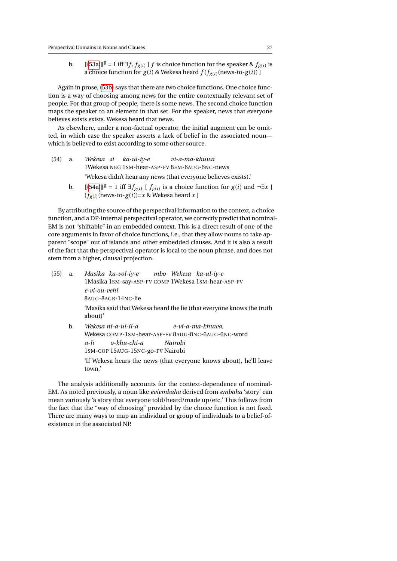<span id="page-26-0"></span>b.  $[[(53a)]^g = 1$  $[[(53a)]^g = 1$  $[[(53a)]^g = 1$  iff ∃*f*, *f*<sub>*g*(*i*)</sub> [*f* is choice function for the speaker & *f*<sub>*g*(*i*)</sub> is a choice function for  $g(i)$  & Wekesa heard  $f(f_{g(i)}(news-to-g(i)))$ 

Again in prose, [\(53b\)](#page-26-0) says that there are two choice functions. One choice function is a way of choosing among news for the entire contextually relevant set of people. For that group of people, there is some news. The second choice function maps the speaker to an element in that set. For the speaker, news that everyone believes exists exists. Wekesa heard that news.

As elsewhere, under a non-factual operator, the initial augment can be omitted, in which case the speaker asserts a lack of belief in the associated noun which is believed to exist according to some other source.

- <span id="page-26-1"></span>(54) a. *Wekesa* 1Wekesa NEG 1SM-hear-ASP-FV 8EM-6AUG-6NC-news *si ka-ul-iy-e vi-a-ma-khuwa* 'Wekesa didn't hear any news (that everyone believes exists).'
	- **b.** [[\(54a\)](#page-26-1)]<sup>*g*</sup> = 1 iff  $\exists f_{g(i)}$  [  $f_{g(i)}$  is a choice function for *g*(*i*) and  $\neg \exists x$  [  $(f_{g(i)}$ (news-to- $g(i))=x$  & Wekesa heard  $x$  ]

By attributing the source of the perspectival information to the context, a choice function, and a DP-internal perspectival operator, we correctly predict that nominal-EM is not "shiftable" in an embedded context. This is a direct result of one of the core arguments in favor of choice functions, i.e., that they allow nouns to take apparent "scope" out of islands and other embedded clauses. And it is also a result of the fact that the perspectival operator is local to the noun phrase, and does not stem from a higher, clausal projection.

(55) a. *Masika ka-vol-iy-e* 1Masika 1SM-say-ASP-FV COMP 1Wekesa 1SM-hear-ASP-FV *mbo Wekesa ka-ul-iy-e e-vi-ou-vehi* 8AUG-8AGR-14NC-lie 'Masika said that Wekesa heard the lie (that everyone knows the truth about)' b. *Wekesa ni-a-ul-il-a* Wekesa COMP-1SM-hear-ASP-FV 8AUG-8NC-6AUG-6NC-word *e-vi-a-ma-khuwa,*

> *a-li* 1SM-COP 15AUG-15NC-go-FV Nairobi *o-khu-chi-a Nairobi* 'If Wekesa hears the news (that everyone knows about), he'll leave town,'

The analysis additionally accounts for the context-dependence of nominal-EM. As noted previously, a noun like *eviembaha* derived from *embaha* 'story' can mean variously 'a story that everyone told/heard/made up/etc.' This follows from the fact that the "way of choosing" provided by the choice function is not fixed. There are many ways to map an individual or group of individuals to a belief-ofexistence in the associated NP.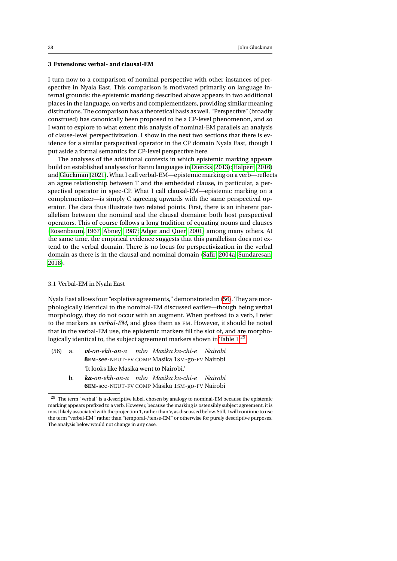# <span id="page-27-0"></span>**3 Extensions: verbal- and clausal-EM**

I turn now to a comparison of nominal perspective with other instances of perspective in Nyala East. This comparison is motivated primarily on language internal grounds: the epistemic marking described above appears in two additional places in the language, on verbs and complementizers, providing similar meaning distinctions. The comparison has a theoretical basis as well. "Perspective" (broadly construed) has canonically been proposed to be a CP-level phenomenon, and so I want to explore to what extent this analysis of nominal-EM parallels an analysis of clause-level perspectivization. I show in the next two sections that there is evidence for a similar perspectival operator in the CP domain Nyala East, though I put aside a formal semantics for CP-level perspective here.

The analyses of the additional contexts in which epistemic marking appears build on established analyses for Bantu languages in [Diercks](#page-45-3) [\(2013\)](#page-45-3); [Halpert](#page-46-6) [\(2016\)](#page-46-6) and [Gluckman](#page-46-5) [\(2021\)](#page-46-5). What I call verbal-EM—epistemic marking on a verb—reflects an agree relationship between T and the embedded clause, in particular, a perspectival operator in spec-CP. What I call clausal-EM—epistemic marking on a complementizer—is simply C agreeing upwards with the same perspectival operator. The data thus illustrate two related points. First, there is an inherent parallelism between the nominal and the clausal domains: both host perspectival operators. This of course follows a long tradition of equating nouns and clauses [\(Rosenbaum, 1967;](#page-47-0) [Abney, 1987;](#page-44-4) [Adger and Quer, 2001\)](#page-44-5) among many others. At the same time, the empirical evidence suggests that this parallelism does not extend to the verbal domain. There is no locus for perspectivization in the verbal domain as there is in the clausal and nominal domain [\(Safir, 2004a;](#page-47-14) [Sundaresan,](#page-48-2) [2018\)](#page-48-2).

#### <span id="page-27-1"></span>3.1 Verbal-EM in Nyala East

Nyala East allows four "expletive agreements," demonstrated in [\(56\)](#page-27-2). They are morphologically identical to the nominal-EM discussed earlier—though being verbal morphology, they do not occur with an augment. When prefixed to a verb, I refer to the markers as *verbal-EM*, and gloss them as EM. However, it should be noted that in the verbal-EM use, the epistemic markers fill the slot of, and are morpho-logically identical to, the subject agreement markers shown in [Table 1.](#page-3-1)<sup>[29](#page-27-3)</sup>

- <span id="page-27-2"></span>(56) a. *vi-on-ekh-an-a mbo Masika ka-chi-e* **8EM**-see-NEUT-FV COMP Masika 1SM-go-FV Nairobi *Nairobi* 'It looks like Masika went to Nairobi.'
	- b. *ka-on-ekh-an-a mbo Masika ka-chi-e* **6EM-**see-NEUT-FV COMP Masika 1SM-go-FV Nairobi *Nairobi*

<span id="page-27-3"></span><sup>&</sup>lt;sup>29</sup> The term "verbal" is a descriptive label, chosen by analogy to nominal-EM because the epistemic marking appears prefixed to a verb. However, because the marking is ostensibly subject agreement, it is most likely associated with the projection T, rather than V, as discussed below. Still, I will continue to use the term "verbal-EM" rather than "temporal-/tense-EM" or otherwise for purely descriptive purposes. The analysis below would not change in any case.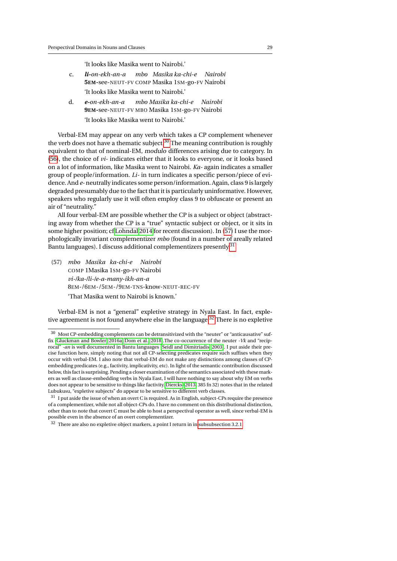'It looks like Masika went to Nairobi.'

- c. *li-on-ekh-an-a* **5EM-**see-NEUT-FV COMP Masika 1SM-go-FV Nairobi *mbo Masika ka-chi-e Nairobi* 'It looks like Masika went to Nairobi.'
- d. *e-on-ekh-an-a* **9EM-**see-NEUT-FV MBO Masika 1SM-go-FV Nairobi *mbo Masika ka-chi-e Nairobi* 'It looks like Masika went to Nairobi.'

Verbal-EM may appear on any verb which takes a CP complement whenever the verb does not have a thematic subject.<sup>[30](#page-28-0)</sup> The meaning contribution is roughly equivalent to that of nominal-EM, modulo differences arising due to category. In [\(56\)](#page-27-2), the choice of *vi-* indicates either that it looks to everyone, or it looks based on a lot of information, like Masika went to Nairobi. *Ka-* again indicates a smaller group of people/information. *Li-* in turn indicates a specific person/piece of evidence. And *e-* neutrally indicates some person/information. Again, class 9 is largely degraded presumably due to the fact that it is particularly uninformative. However, speakers who regularly use it will often employ class 9 to obfuscate or present an air of "neutrality."

All four verbal-EM are possible whether the CP is a subject or object (abstracting away from whether the CP is a "true" syntactic subject or object, or it sits in some higher position; cf [Lohndal 2014](#page-47-15) for recent discussion). In [\(57\)](#page-28-1) I use the morphologically invariant complementizer *mbo* (found in a number of areally related Bantu languages). I discuss additional complementizers presently.[31](#page-28-2)

<span id="page-28-1"></span>(57) *mbo Masika ka-chi-e Nairobi* COMP 1Masika 1SM-go-FV Nairobi *vi-/ka-/li-/e-a-many-ikh-an-a* 8EM-/6EM-/5EM-/9EM-TNS-know-NEUT-REC-FV 'That Masika went to Nairobi is known.'

Verbal-EM is not a "general" expletive strategy in Nyala East. In fact, expletive agreement is not found anywhere else in the language.[32](#page-28-3) There is no expletive

<span id="page-28-0"></span> $^{30}\,$  Most CP-embedding complements can be detransitivized with the "neuter" or "anticausative" suffix [\(Gluckman and Bowler, 2016a;](#page-46-11) [Dom et al., 2018\)](#page-45-13).The co-occurrence of the neuter *-Vk* and "reciprocal" *-an* is well documented in Bantu languages [\(Seidl and Dimitriadis, 2003\)](#page-48-9). I put aside their precise function here, simply noting that not all CP-selecting predicates require such suffixes when they occur with verbal-EM. I also note that verbal-EM do not make any distinctions among classes of CPembedding predicates (e.g., factivity, implicativity, etc). In light of the semantic contribution discussed below, this fact is surprising. Pending a closer examination of the semantics associated with these markers as well as clause-embedding verbs in Nyala East, I will have nothing to say about why EM on verbs does not appear to be sensitive to things like factivity. [Diercks](#page-45-3) [\(2013,](#page-45-3) 385 fn 32) notes that in the related Lubukusu, "expletive subjects" do appear to be sensitive to different verb classes.

<span id="page-28-2"></span><sup>&</sup>lt;sup>31</sup> I put aside the issue of when an overt C is required. As in English, subject-CPs require the presence of a complementizer, while not all object-CPs do. I have no comment on this distributional distinction, other than to note that covert C must be able to host a perspectival operator as well, since verbal-EM is possible even in the absence of an overt complementizer.

<span id="page-28-3"></span> $32$  There are also no expletive object markers, a point I return in in [subsubsection 3.2.1.](#page-33-1)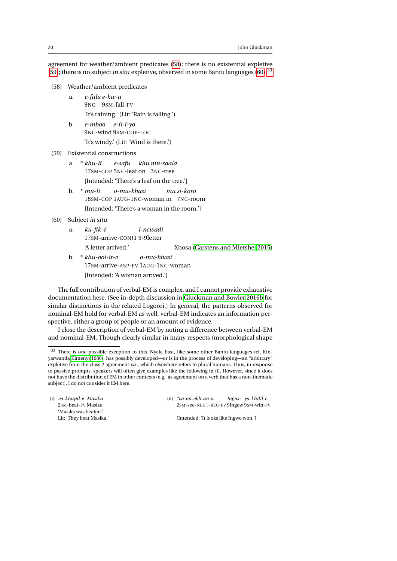agreement for weather/ambient predicates [\(58\)](#page-29-0); there is no existential expletive [\(59\)](#page-29-1); there is no subject in situ expletive, observed in some Bantu languages  $(60)$ .<sup>[33](#page-29-3)</sup>

- <span id="page-29-0"></span>(58) Weather/ambient predicates
	- a. *e-fula e-kw-a* 9NC 9SM-fall-FV 'It's raining.' (Lit: 'Rain is falling.')
	- b. *e-mboo e-il-i-yo* 9NC-wind 9SM-COP-LOC 'It's windy.' (Lit: 'Wind is there.')
- <span id="page-29-1"></span>(59) Existential constructions
	- a. \* *khu-li* 17SM-COP 5NC-leaf on 3NC-tree *e-safu khu mu-saala* [Intended: 'There's a leaf on the tree.']
	- b. \* *mu-li* 18SM-COP 1AUG-1NC-woman in 7NC-room *o-mu-khasi mu si-koro* [Intended: 'There's a woman in the room.']
- <span id="page-29-2"></span>(60) Subject in situ
	- a. *ku-fik-é* 17SM-arrive-CONJ1 9-9letter *i-ncwadi* 'A letter arrived.' Xhosa [\(Carstens and Mletshe, 2015\)](#page-45-8)
	- b. \* *khu-ool-ir-e* 17SM-arrive-ASP-FV 1AUG-1NC-woman *o-mu-khasi* [Intended: 'A woman arrived.']

The full contribution of verbal-EM is complex, and I cannot provide exhaustive documentation here. (See in-depth discussion in [Gluckman and Bowler 2016b](#page-46-4) for similar distinctions in the related Logoori.) In general, the patterns observed for nominal-EM hold for verbal-EM as well: verbal-EM indicates an information perspective, either a group of people or an amount of evidence.

I close the description of verbal-EM by noting a difference between verbal-EM and nominal-EM. Though clearly similar in many respects (morphological shape

(i) *va-khupil-e Masika* 2SM-beat-FV Masika 'Masika was beaten.' Lit: 'They beat Masika.' (ii) *\*va-on-ekh-an-a* 2SM-see-NEUT-REC-FV 9Ingew 9SM-win-FV *Ingwe ya-khilil-e*

[Intended: 'It looks like Ingwe won.']

<span id="page-29-3"></span><sup>33</sup> There is one possible exception to this. Nyala East, like some other Bantu languages (cf, Kinyarwanda [Kimenyi 1980\)](#page-46-12), has possibly developed—or is in the process of developing—an "arbitrary" expletive from the class 2 agreement *va-*, which elsewhere refers to plural humans. Thus, in response to passive prompts, speakers will often give examples like the following in (i). However, since it does not have the distribution of EM in other contexts (e.g., as agreement on a verb that has a non-thematic subject), I do not consider it EM here.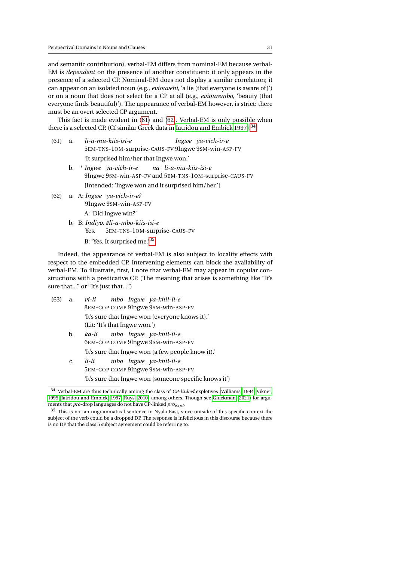and semantic contribution), verbal-EM differs from nominal-EM because verbal-EM is *dependent* on the presence of another constituent: it only appears in the presence of a selected CP. Nominal-EM does not display a similar correlation; it can appear on an isolated noun (e.g., *eviouvehi*, 'a lie (that everyone is aware of )') or on a noun that does not select for a CP at all (e.g., *eviourembo*, 'beauty (that everyone finds beautiful)'). The appearance of verbal-EM however, is strict: there must be an overt selected CP argument.

This fact is made evident in [\(61\)](#page-30-0) and [\(62\)](#page-30-1). Verbal-EM is only possible when there is a selected CP. (Cf similar Greek data in [Iatridou and Embick 1997\)](#page-46-13).<sup>[34](#page-30-2)</sup>

- <span id="page-30-0"></span>(61) a. *li-a-mu-kiis-isi-e* 5EM-TNS-1OM-surprise-CAUS-FV 9Ingwe 9SM-win-ASP-FV *Ingwe ya-vich-ir-e* 'It surprised him/her that Ingwe won.'
	- b. \* *Ingwe ya-vich-ir-e* 9Ingwe 9SM-win-ASP-FV and 5EM-TNS-1OM-surprise-CAUS-FV *na li-a-mu-kiis-isi-e* [Intended: 'Ingwe won and it surprised him/her.']
- <span id="page-30-1"></span>(62) a. A: *Ingwe ya-vich-ir-e?* 9Ingwe 9SM-win-ASP-FV
	- A: 'Did Ingwe win?'
	- b. B: *Indiyo. #li-a-mbo-kiis-isi-e* Yes. 5EM-TNS-1OM-surprise-CAUS-FV

B: 'Yes. It surprised me.'[35](#page-30-3)

Indeed, the appearance of verbal-EM is also subject to locality effects with respect to the embedded CP. Intervening elements can block the availability of verbal-EM. To illustrate, first, I note that verbal-EM may appear in copular constructions with a predicative CP. (The meaning that arises is something like "It's sure that..." or "It's just that...")

- (63) a. *vi-li* 8EM-COP COMP 9Ingwe 9SM-win-ASP-FV *mbo Ingwe ya-khil-il-e* 'It's sure that Ingwe won (everyone knows it).' (Lit: 'It's that Ingwe won.')
	- b. *ka-li* 6EM-COP COMP 9Ingwe 9SM-win-ASP-FV *mbo Ingwe ya-khil-il-e* 'It's sure that Ingwe won (a few people know it).'
	- c. *li-li* 5EM-COP COMP 9Ingwe 9SM-win-ASP-FV *mbo Ingwe ya-khil-il-e* 'It's sure that Ingwe won (someone specific knows it')

<span id="page-30-2"></span><sup>34</sup> Verbal-EM are thus technically among the class of *CP-linked* expletives [\(Williams, 1994;](#page-48-10) [Vikner,](#page-48-11) [1995;](#page-48-11) [Iatridou and Embick, 1997;](#page-46-13) [Ruys, 2010\)](#page-47-16) among others. Though see [Gluckman](#page-46-5) [\(2021\)](#page-46-5) for arguments that *pro-*drop languages do not have CP-linked *proexpl* .

<span id="page-30-3"></span><sup>&</sup>lt;sup>35</sup> This is not an ungrammatical sentence in Nyala East, since outside of this specific context the subject of the verb could be a dropped DP. The response is infelicitous in this discourse because there is no DP that the class 5 subject agreement could be referring to.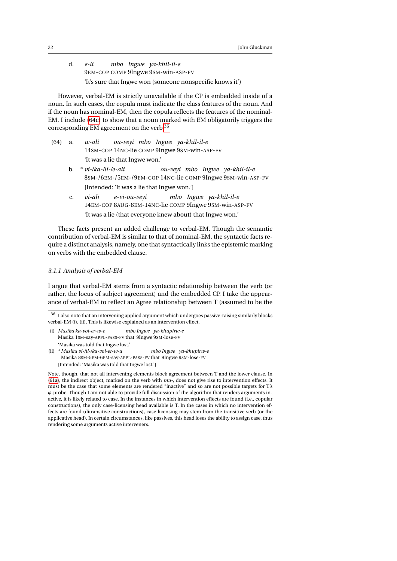d. *e-li* 9EM-COP COMP 9Ingwe 9SM-win-ASP-FV *mbo Ingwe ya-khil-il-e* 'It's sure that Ingwe won (someone nonspecific knows it')

However, verbal-EM is strictly unavailable if the CP is embedded inside of a noun. In such cases, the copula must indicate the class features of the noun. And if the noun has nominal-EM, then the copula reflects the features of the nominal-EM. I include [\(64c\)](#page-31-0) to show that a noun marked with EM obligatorily triggers the corresponding EM agreement on the verb.[36](#page-31-1)

- (64) a. *w-ali* 14SM-COP 14NC-lie COMP 9Ingwe 9SM-win-ASP-FV *ou-veyi mbo Ingwe ya-khil-il-e* 'It was a lie that Ingwe won.'
	- b. \* *vi-/ka-/li-/e-ali* 8SM-/6EM-/5EM-/9EM-COP 14NC-lie COMP 9Ingwe 9SM-win-ASP-FV *ou-veyi mbo Ingwe ya-khil-il-e* [Intended: 'It was a lie that Ingwe won.']
	- c. *vi-ali* 14EM-COP 8AUG-8EM-14NC-lie COMP 9Ingwe 9SM-win-ASP-FV *e-vi-ou-veyi mbo Ingwe ya-khil-il-e* 'It was a lie (that everyone knew about) that Ingwe won.'

<span id="page-31-0"></span>These facts present an added challenge to verbal-EM. Though the semantic contribution of verbal-EM is similar to that of nominal-EM, the syntactic facts require a distinct analysis, namely, one that syntactically links the epistemic marking on verbs with the embedded clause.

# <span id="page-31-2"></span>*3.1.1 Analysis of verbal-EM*

I argue that verbal-EM stems from a syntactic relationship between the verb (or rather, the locus of subject agreement) and the embedded CP. I take the appearance of verbal-EM to reflect an Agree relationship between T (assumed to be the

- (i) *Masika ka-vol-er-w-e* Masika 1SM-say-APPL-PASS-FV that 9Ingwe 9SM-lose-FV *mbo Ingwe ya-khupirw-e* 'Masika was told that Ingwe lost.'
- (ii) *\* Masika vi-/li-/ka-vol-er-w-a* Masika 8SM-5EM-6EM-say-APPL-PASS-FV that 9Ingwe 9SM-lose-FV *mbo Ingwe ya-khupirw-e* [Intended: 'Masika was told that Ingwe lost.']

Note, though, that not all intervening elements block agreement between T and the lower clause. In [\(61a\)](#page-30-0), the indirect object, marked on the verb with *mu-*, does not give rise to intervention effects. It must be the case that some elements are rendered "inactive" and so are not possible targets for T's *φ*-probe. Though I am not able to provide full discussion of the algorithm that renders arguments inactive, it is likely related to case. In the instances in which intervention effects are found (i.e., copular constructions), the only case-licensing head available is T. In the cases in which no intervention effects are found (ditransitive constructions), case licensing may stem from the transitive verb (or the applicative head). In certain circumstances, like passives, this head loses the ability to assign case, thus rendering some arguments active interveners.

<span id="page-31-1"></span> $^{36}\,$  I also note that an intervening applied argument which undergoes passive-raising similarly blocks verbal-EM (i), (ii). This is likewise explained as an intervention effect.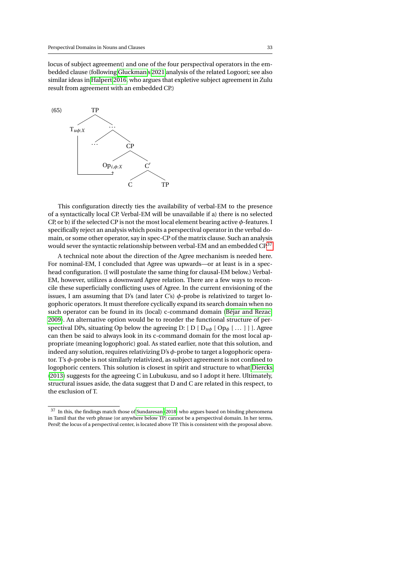locus of subject agreement) and one of the four perspectival operators in the embedded clause (following [Gluckman'](#page-46-5)s [2021](#page-46-5) analysis of the related Logoori; see also similar ideas in [Halpert 2016,](#page-46-6) who argues that expletive subject agreement in Zulu result from agreement with an embedded CP.)



This configuration directly ties the availability of verbal-EM to the presence of a syntactically local CP. Verbal-EM will be unavailable if a) there is no selected CP, or b) if the selected CP is not the most local element bearing active *φ*-features. I specifically reject an analysis which posits a perspectival operator in the verbal domain, or some other operator, say in spec-CP of the matrix clause. Such an analysis would sever the syntactic relationship between verbal-EM and an embedded CP.<sup>[37](#page-32-0)</sup>

A technical note about the direction of the Agree mechanism is needed here. For nominal-EM, I concluded that Agree was upwards—or at least is in a spechead configuration. (I will postulate the same thing for clausal-EM below.) Verbal-EM, however, utilizes a downward Agree relation. There are a few ways to reconcile these superficially conflicting uses of Agree. In the current envisioning of the issues, I am assuming that D's (and later C's)  $\phi$ -probe is relativized to target logophoric operators. It must therefore cyclically expand its search domain when no such operator can be found in its (local) c-command domain [\(Béjar and Rezac,](#page-44-2) [2009\)](#page-44-2). An alternative option would be to reorder the functional structure of perspectival DPs, situating Op below the agreeing D:  $[D | D_{\mu\phi} | [Op_{\phi} | ... ]]$ . Agree can then be said to always look in its c-command domain for the most local appropriate (meaning logophoric) goal. As stated earlier, note that this solution, and indeed any solution, requires relativizing D's *φ*-probe to target a logophoric operator. T's *φ*-probe is not similarly relativized, as subject agreement is not confined to logophoric centers. This solution is closest in spirit and structure to what [Diercks](#page-45-3) [\(2013\)](#page-45-3) suggests for the agreeing C in Lubukusu, and so I adopt it here. Ultimately, structural issues aside, the data suggest that D and C are related in this respect, to the exclusion of T.

<span id="page-32-0"></span> $\,^{37}$  In this, the findings match those of [Sundaresan](#page-48-2) [\(2018\)](#page-48-2) who argues based on binding phenomena in Tamil that the verb phrase (or anywhere below TP) cannot be a perspectival domain. In her terms, PersP, the locus of a perspectival center, is located above TP. This is consistent with the proposal above.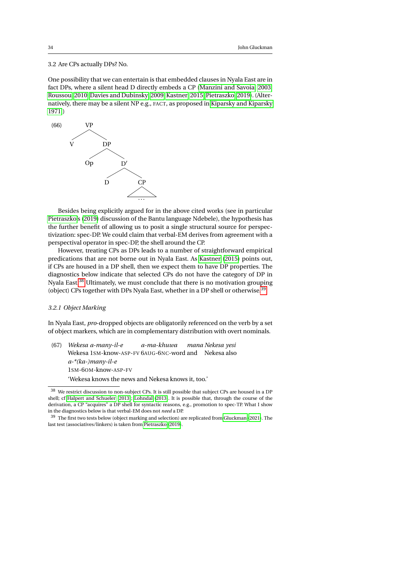# <span id="page-33-0"></span>3.2 Are CPs actually DPs? No.

One possibility that we can entertain is that embedded clauses in Nyala East are in fact DPs, where a silent head D directly embeds a CP [\(Manzini and Savoia, 2003;](#page-47-17) [Roussou, 2010;](#page-47-18) [Davies and Dubinsky, 2009;](#page-45-14) [Kastner, 2015;](#page-46-1) [Pietraszko, 2019\)](#page-47-2). (Alternatively, there may be a silent NP e.g., FACT, as proposed in [Kiparsky and Kiparsky](#page-46-14) [1971.](#page-46-14))



Besides being explicitly argued for in the above cited works (see in particular [Pietraszko'](#page-47-2)s [\(2019\)](#page-47-2) discussion of the Bantu language Ndebele), the hypothesis has the further benefit of allowing us to posit a single structural source for perspectivization: spec-DP. We could claim that verbal-EM derives from agreement with a perspectival operator in spec-DP, the shell around the CP.

However, treating CPs as DPs leads to a number of straightforward empirical predications that are not borne out in Nyala East. As [Kastner](#page-46-1) [\(2015\)](#page-46-1) points out, if CPs are housed in a DP shell, then we expect them to have DP properties. The diagnostics below indicate that selected CPs do not have the category of DP in Nyala East.<sup>[38](#page-33-2)</sup> Ultimately, we must conclude that there is no motivation grouping (object) CPs together with DPs Nyala East, whether in a DP shell or otherwise.<sup>[39](#page-33-3)</sup>

#### <span id="page-33-1"></span>*3.2.1 Object Marking*

In Nyala East, *pro*-dropped objects are obligatorily referenced on the verb by a set of object markers, which are in complementary distribution with overt nominals.

- (67) *Wekesa a-many-il-e* Wekesa 1SM-know-ASP-FV 6AUG-6NC-word and Nekesa also *a-ma-khuwa mana Nekesa yesi a-\*(ka-)many-il-e* 1SM-6OM-know-ASP-FV
	- 'Wekesa knows the news and Nekesa knows it, too.'

<span id="page-33-2"></span><sup>38</sup> We restrict discussion to non-subject CPs. It is still possible that subject CPs are housed in a DP shell; cf [Halpert and Schueler](#page-46-15) [\(2013\)](#page-46-15); [Lohndal](#page-47-19) [\(2013\)](#page-47-19). It is possible that, through the course of the derivation, a CP "acquires" a DP shell for syntactic reasons, e.g., promotion to spec-TP. What I show in the diagnostics below is that verbal-EM does not *need* a DP.

<span id="page-33-3"></span> $^{39}\,$  The first two tests below (object marking and selection) are replicated from [Gluckman](#page-46-5) [\(2021\)](#page-46-5). The last test (associatives/linkers) is taken from [Pietraszko](#page-47-2) [\(2019\)](#page-47-2).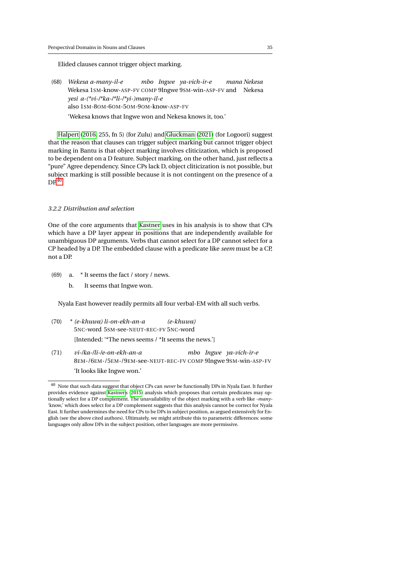Elided clauses cannot trigger object marking.

(68) *Wekesa a-many-il-e* Wekesa 1SM-know-ASP-FV COMP 9Ingwe 9SM-win-ASP-FV and Nekesa *mbo Ingwe ya-vich-ir-e mana Nekesa yesi a-(\*vi-/\*ka-/\*li-/\*yi-)many-il-e* also 1SM-8OM-6OM-5OM-9OM-know-ASP-FV 'Wekesa knows that Ingwe won and Nekesa knows it, too.'

[Halpert](#page-46-6) [\(2016,](#page-46-6) 255, fn 5) (for Zulu) and [Gluckman](#page-46-5) [\(2021\)](#page-46-5) (for Logoori) suggest that the reason that clauses can trigger subject marking but cannot trigger object marking in Bantu is that object marking involves cliticization, which is proposed to be dependent on a D feature. Subject marking, on the other hand, just reflects a "pure" Agree dependency. Since CPs lack D, object cliticization is not possible, but subject marking is still possible because it is not contingent on the presence of a  $DP<sup>40</sup>$  $DP<sup>40</sup>$  $DP<sup>40</sup>$ 

# *3.2.2 Distribution and selection*

One of the core arguments that [Kastner](#page-46-1) uses in his analysis is to show that CPs which have a DP layer appear in positions that are independently available for unambiguous DP arguments. Verbs that cannot select for a DP cannot select for a CP headed by a DP. The embedded clause with a predicate like *seem* must be a CP, not a DP.

- (69) a. \* It seems the fact / story / news.
	- b. It seems that Ingwe won.

Nyala East however readily permits all four verbal-EM with all such verbs.

- (70) \* *(e-khuwa) li-on-ekh-an-a* 5NC-word 5SM-see-NEUT-REC-FV 5NC-word *(e-khuwa)* [Intended: '\*The news seems / \*It seems the news.']
- (71) *vi-/ka-/li-/e-on-ekh-an-a* 8EM-/6EM-/5EM-/9EM-see-NEUT-REC-FV COMP 9Ingwe 9SM-win-ASP-FV *mbo Ingwe ya-vich-ir-e* 'It looks like Ingwe won.'

<span id="page-34-0"></span><sup>40</sup> Note that such data suggest that object CPs can *never* be functionally DPs in Nyala East. It further provides evidence against [Kastner'](#page-46-1)s [\(2015\)](#page-46-1) analysis which proposes that certain predicates may optionally select for a DP complement. The unavailability of the object marking with a verb like *-many-* 'know,' which does select for a DP complement suggests that this analysis cannot be correct for Nyala East. It further undermines the need for CPs to be DPs in subject position, as argued extensively for English (see the above cited authors). Ultimately, we might attribute this to parametric differences: some languages only allow DPs in the subject position, other languages are more permissive.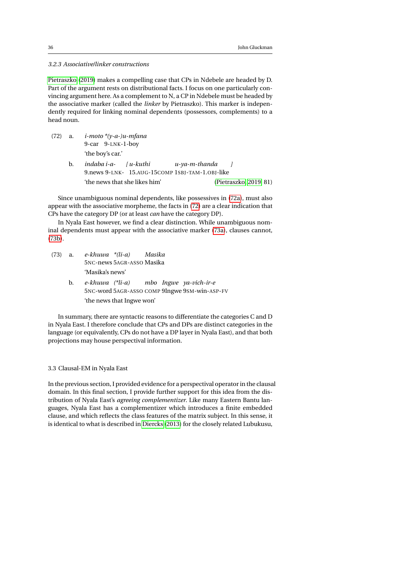*3.2.3 Associative/linker constructions*

[Pietraszko](#page-47-2) [\(2019\)](#page-47-2) makes a compelling case that CPs in Ndebele are headed by D. Part of the argument rests on distributional facts. I focus on one particularly convincing argument here. As a complement to N, a CP in Ndebele must be headed by the associative marker (called the *linker* by Pietraszko). This marker is independently required for linking nominal dependents (possessors, complements) to a head noun.

- <span id="page-35-1"></span>(72) a. *i-moto \*(y-a-)u-mfana* 9-car 9-LNK-1-boy 'the boy's car.'
	- b. *indaba i-a-*9.news 9-LNK- 15.AUG-15COMP 1SBJ-TAM-1.OBJ-like *[ u-kuthi u-ya-m-thanda ]* 'the news that she likes him' [\(Pietraszko, 2019,](#page-47-2) 81)

Since unambiguous nominal dependents, like possessives in [\(72a\)](#page-35-1), must also appear with the associative morpheme, the facts in [\(72\)](#page-35-1) are a clear indication that CPs have the category DP (or at least *can* have the category DP).

In Nyala East however, we find a clear distinction. While unambiguous nominal dependents must appear with the associative marker [\(73a\)](#page-35-2), clauses cannot, [\(73b\)](#page-35-3).

- <span id="page-35-3"></span><span id="page-35-2"></span>(73) a. *e-khuwa \*(li-a)* 5NC-news 5AGR-ASSO Masika *Masika* 'Masika's news'
	- b. *e-khuwa (\*li-a)* 5NC-word 5AGR-ASSO COMP 9Ingwe 9SM-win-ASP-FV *mbo Ingwe ya-vich-ir-e* 'the news that Ingwe won'

In summary, there are syntactic reasons to differentiate the categories C and D in Nyala East. I therefore conclude that CPs and DPs are distinct categories in the language (or equivalently, CPs do not have a DP layer in Nyala East), and that both projections may house perspectival information.

# <span id="page-35-0"></span>3.3 Clausal-EM in Nyala East

In the previous section, I provided evidence for a perspectival operator in the clausal domain. In this final section, I provide further support for this idea from the distribution of Nyala East's *agreeing complementizer*. Like many Eastern Bantu languages, Nyala East has a complementizer which introduces a finite embedded clause, and which reflects the class features of the matrix subject. In this sense, it is identical to what is described in [Diercks](#page-45-3) [\(2013\)](#page-45-3) for the closely related Lubukusu,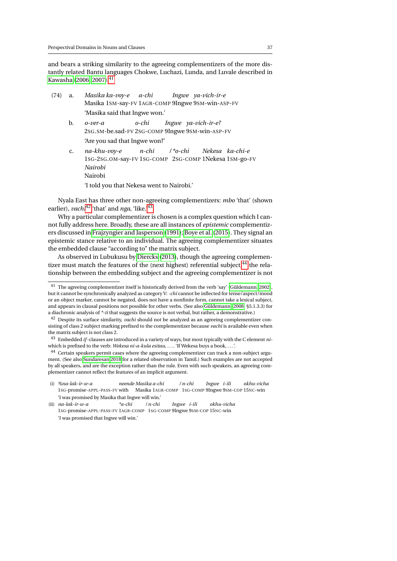and bears a striking similarity to the agreeing complementizers of the more distantly related Bantu languages Chokwe, Luchazi, Lunda, and Luvale described in [Kawasha](#page-46-16) [\(2006,](#page-46-16) [2007\)](#page-46-8).<sup>[41](#page-36-0)</sup>

- (74) a. *Masika ka-voy-e* Masika 1SM-say-FV 1AGR-COMP 9Ingwe 9SM-win-ASP-FV *a-chi Ingwe ya-vich-ir-e* 'Masika said that Ingwe won.'
	- b. *o-ver-a* 2SG.SM-be.sad-FV 2SG-COMP 9Ingwe 9SM-win-ASP-FV *o-chi Ingwe ya-vich-ir-e?* 'Are you sad that Ingwe won?'
	- c. *na-khu-voy-e* 1SG-2SG.OM-say-FV 1SG-COMP 2SG-COMP 1Nekesa 1SM-go-FV *n-chi / \*o-chi Nekesa ka-chi-e Nairobi* Nairobi

'I told you that Nekesa went to Nairobi.'

Nyala East has three other non-agreeing complementizers: *mbo* 'that' (shown earlier), *vachi*<sup>[42](#page-36-1)</sup> 'that' and *nga*, 'like.'<sup>[43](#page-36-2)</sup>

Why a particular complementizer is chosen is a complex question which I cannot fully address here. Broadly, these are all instances of *epistemic* complementizers discussed in [Frajzyngier and Jasperson](#page-45-15) [\(1991\)](#page-45-15); [Boye et al.](#page-44-6) [\(2015\)](#page-44-6). They signal an epistemic stance relative to an individual. The agreeing complementizer situates the embedded clause "according to" the matrix subject.

As observed in Lubukusu by [Diercks](#page-45-3) [\(2013\)](#page-45-3), though the agreeing complementizer must match the features of the (next highest) referential subject, $^{44}$  $^{44}$  $^{44}$  the relationship between the embedding subject and the agreeing complementizer is not

<span id="page-36-0"></span><sup>41</sup> The agreeing complementizer itself is historically derived from the verb 'say' [\(Güldemann, 2002\)](#page-46-17), but it cannot be synchronically analyzed as category V: *-chi* cannot be inflected for tense/aspect/mood or an object marker, cannot be negated, does not have a nonfinite form, cannot take a lexical subject, and appears in clausal positions not possible for other verbs. (See also [Güldemann](#page-46-18) [\(2008,](#page-46-18) §5.1.3.3) for a diachronic analysis of *\*-ti* that suggests the source is not verbal, but rather, a demonstrative.)

<span id="page-36-1"></span><sup>&</sup>lt;sup>42</sup> Despite its surface similarity, *vachi* should not be analyzed as an agreeing complementizer consisting of class 2 subject marking prefixed to the complementizer because *vachi* is available even when the matrix subject is not class 2.

<span id="page-36-2"></span><sup>43</sup> Embedded *if*-clauses are introduced in a variety of ways, but most typically with the C element *ni*which is prefixed to the verb: *Wekesa ni-a-kula esitau, ....* 'If Wekesa buys a book, ...'.

<span id="page-36-3"></span><sup>44</sup> Certain speakers permit cases where the agreeing complementizer can track a non-subject argument. (See also [Sundaresan 2018](#page-48-2) for a related observation in Tamil.) Such examples are not accepted by all speakers, and are the exception rather than the rule. Even with such speakers, an agreeing complementizer cannot reflect the features of an implicit argument.

<sup>(</sup>i) *%na-lak-ir-w-a* 1SG-promise-APPL-PASS-FV with Masika 1AGR-COMP 1SG-COMP 9Ingwe 9SM-COP 15NC-win *neende Masika a-chi / n-chi Ingwe i-ili okhu-vicha* 'I was promised by Masika that Ingwe will win.'

<sup>(</sup>ii) *na-lak-ir-w-a* 1SG-promise-APPL-PASS-FV 1AGR-COMP 1SG-COMP 9Ingwe 9SM-COP 15NC-win *\*a-chi / n-chi Ingwe i-ili okhu-vicha* 'I was promised that Ingwe will win.'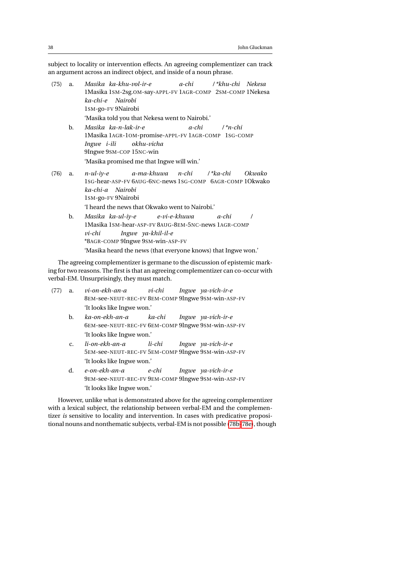subject to locality or intervention effects. An agreeing complementizer can track an argument across an indirect object, and inside of a noun phrase.

- (75) a. *Masika* 1Masika 1SM-2sg.OM-say-APPL-FV 1AGR-COMP 2SM-COMP 1Nekesa *ka-khu-vol-ir-e a-chi / \*khu-chi Nekesa ka-chi-e Nairobi* 1SM-go-FV 9Nairobi 'Masika told you that Nekesa went to Nairobi.'
	- b. *Masika ka-n-lak-ir-e* 1Masika 1AGR-1OM-promise-APPL-FV 1AGR-COMP 1SG-COMP *a-chi / \*n-chi Ingwe i-ili* 9Ingwe 9SM-COP 15NC-win *okhu-vicha* 'Masika promised me that Ingwe will win.'
- <span id="page-37-0"></span>(76) a. *n-ul-iy-e* 1SG-hear-ASP-FV 6AUG-6NC-news 1SG-COMP 6AGR-COMP 1Okwako *a-ma-khuwa n-chi / \*ka-chi Okwako ka-chi-a Nairobi* 1SM-go-FV 9Nairobi 'I heard the news that Okwako went to Nairobi.'
	- b. *Masika ka-ul-iy-e* 1Masika 1SM-hear-ASP-FV 8AUG-8EM-5NC-news 1AGR-COMP *e-vi-e-khuwa a-chi / vi-chi* \*8AGR-COMP 9Ingwe 9SM-win-ASP-FV *Ingwe ya-khil-il-e* 'Masika heard the news (that everyone knows) that Ingwe won.'

The agreeing complementizer is germane to the discussion of epistemic marking for two reasons. The first is that an agreeing complementizer can co-occur with verbal-EM. Unsurprisingly, they must match.

- (77) a. *vi-on-ekh-an-a* 8EM-see-NEUT-REC-FV 8EM-COMP 9Ingwe 9SM-win-ASP-FV *vi-chi Ingwe ya-vich-ir-e* 'It looks like Ingwe won.'
	- b. *ka-on-ekh-an-a* 6EM-see-NEUT-REC-FV 6EM-COMP 9Ingwe 9SM-win-ASP-FV *ka-chi Ingwe ya-vich-ir-e* 'It looks like Ingwe won.'
	- c. *li-on-ekh-an-a* 5EM-see-NEUT-REC-FV 5EM-COMP 9Ingwe 9SM-win-ASP-FV *li-chi Ingwe ya-vich-ir-e* 'It looks like Ingwe won.'
	- d. *e-on-ekh-an-a* 9EM-see-NEUT-REC-FV 9EM-COMP 9Ingwe 9SM-win-ASP-FV *e-chi Ingwe ya-vich-ir-e* 'It looks like Ingwe won.'

However, unlike what is demonstrated above for the agreeing complementizer with a lexical subject, the relationship between verbal-EM and the complementizer *is* sensitive to locality and intervention. In cases with predicative propositional nouns and nonthematic subjects, verbal-EM is not possible [\(78b](#page-38-0)[-78e\)](#page-38-1), though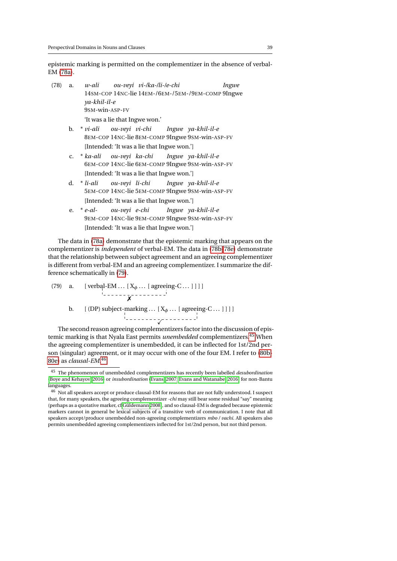epistemic marking is permitted on the complementizer in the absence of verbal-EM [\(78a\)](#page-38-2).

- <span id="page-38-2"></span><span id="page-38-0"></span>(78) a. *w-ali* 14SM-COP 14NC-lie 14EM-/6EM-/5EM-/9EM-COMP 9Ingwe *ou-veyi vi-/ka-/li-/e-chi Ingwe ya-khil-il-e* 9SM-win-ASP-FV 'It was a lie that Ingwe won.'
	- b. \* *vi-ali* 8EM-COP 14NC-lie 8EM-COMP 9Ingwe 9SM-win-ASP-FV *ou-veyi vi-chi Ingwe ya-khil-il-e* [Intended: 'It was a lie that Ingwe won.']
	- c. \* *ka-ali* 6EM-COP 14NC-lie 6EM-COMP 9Ingwe 9SM-win-ASP-FV *ou-veyi ka-chi Ingwe ya-khil-il-e* [Intended: 'It was a lie that Ingwe won.']
	- d. \* *li-ali* 5EM-COP 14NC-lie 5EM-COMP 9Ingwe 9SM-win-ASP-FV *ou-veyi li-chi Ingwe ya-khil-il-e* [Intended: 'It was a lie that Ingwe won.']
	- e. \* *e-al-*9EM-COP 14NC-lie 9EM-COMP 9Ingwe 9SM-win-ASP-FV *ou-veyi e-chi Ingwe ya-khil-il-e* [Intended: 'It was a lie that Ingwe won.']

<span id="page-38-1"></span>The data in [\(78a\)](#page-38-2) demonstrate that the epistemic marking that appears on the complementizer is *independent* of verbal-EM. The data in [\(78b](#page-38-0)[-78e\)](#page-38-1) demonstrate that the relationship between subject agreement and an agreeing complementizer is different from verbal-EM and an agreeing complementizer. I summarize the difference schematically in [\(79\)](#page-38-3).

<span id="page-38-3"></span>(79) a. [ verbal-EM ...  $[X_{\phi} \dots [$  agreeing-C ... ] ] ] ✗ b.  $[$  (DP) subject-marking . .  $[X_{\phi} \dots]$  agreeing-C . . .  $]$ ]  $\overline{\checkmark}$ 

The second reason agreeing complementizers factor into the discussion of epistemic marking is that Nyala East permits *unembedded* complementizers.[45](#page-38-4) When the agreeing complementizer is unembedded, it can be inflected for 1st/2nd person (singular) agreement, or it may occur with one of the four EM. I refer to [\(80b-](#page-39-0)[80e\)](#page-39-1) as *clausal-EM*. [46](#page-38-5)

<span id="page-38-4"></span><sup>45</sup> The phenomenon of unembedded complementizers has recently been labelled *desubordination* [\(Boye and Kehayov, 2016\)](#page-44-7) or *insubordination* [\(Evans, 2007;](#page-45-16) [Evans and Watanabe, 2016\)](#page-45-17) for non-Bantu languages.

<span id="page-38-5"></span> $^{46}$  Not all speakers accept or produce clausal-EM for reasons that are not fully understood. I suspect that, for many speakers, the agreeing complementizer *-chi* may still bear some residual "say" meaning (perhaps as a quotative marker, cf [Güldemann 2008\)](#page-46-18), and so clausal-EM is degraded because epistemic markers cannot in general be lexical subjects of a transitive verb of communication. I note that all speakers accept/produce unembedded non-agreeing complementizers *mbo / vachi*. All speakers also permits unembedded agreeing complementizers inflected for 1st/2nd person, but not third person.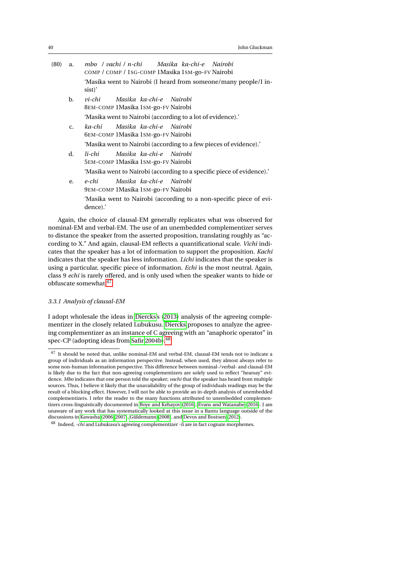<span id="page-39-4"></span><span id="page-39-0"></span>

| (80) | a.          | mbo / vachi / n-chi Masika ka-chi-e Nairobi<br>COMP / COMP / 1SG-COMP 1Masika 1SM-go-FV Nairobi |
|------|-------------|-------------------------------------------------------------------------------------------------|
|      |             | 'Masika went to Nairobi (I heard from someone/many people/I in-<br>sist)'                       |
|      | b.          | Masika ka-chi-e Nairobi<br>vi-chi<br>8EM-COMP 1 Masika 1 SM-go-FV Nairobi                       |
|      |             | 'Masika went to Nairobi (according to a lot of evidence).'                                      |
|      | $C_{\star}$ | Masika ka-chi-e Nairobi<br>ka-chi<br>6EM-COMP 1 Masika 1 SM-go-FV Nairobi                       |
|      |             | 'Masika went to Nairobi (according to a few pieces of evidence).'                               |
|      | d.          | Masika ka-chi-e Nairobi<br>li-chi<br>5EM-COMP 1 Masika 1 SM-go-FV Nairobi                       |
|      |             | 'Masika went to Nairobi (according to a specific piece of evidence).'                           |
|      | e.          | Masika ka-chi-e Nairobi<br>e-chi<br>9EM-COMP 1 Masika 1 SM-go-FV Nairobi                        |
|      |             | 'Masika went to Nairobi (according to a non-specific piece of evi-<br>dence).'                  |

<span id="page-39-1"></span>Again, the choice of clausal-EM generally replicates what was observed for nominal-EM and verbal-EM. The use of an unembedded complementizer serves to distance the speaker from the asserted proposition, translating roughly as "according to X." And again, clausal-EM reflects a quantificational scale. *Vichi* indicates that the speaker has a lot of information to support the proposition. *Kachi* indicates that the speaker has less information. *Lichi* indicates that the speaker is using a particular, specific piece of information. *Echi* is the most neutral. Again, class 9 *echi* is rarely offered, and is only used when the speaker wants to hide or obfuscate somewhat.[47](#page-39-2)

#### *3.3.1 Analysis of clausal-EM*

I adopt wholesale the ideas in [Diercks'](#page-45-3)s [\(2013\)](#page-45-3) analysis of the agreeing complementizer in the closely related Lubukusu. [Diercks](#page-45-3) proposes to analyze the agreeing complementizer as an instance of C agreeing with an "anaphoric operator" in spec-CP (adopting ideas from [Safir 2004b\)](#page-47-20). $48$ 

<span id="page-39-2"></span><sup>47</sup> It should be noted that, unlike nominal-EM and verbal-EM, clausal-EM tends not to indicate a group of individuals as an information perspective. Instead, when used, they almost always refer to some non-human information perspective. This difference between nominal-/verbal- and clausal-EM is likely due to the fact that non-agreeing complementizers are solely used to reflect "hearsay" evidence. *Mbo* indicates that one person told the speaker; *vachi* that the speaker has heard from multiple sources. Thus, I believe it likely that the unavailability of the group of individuals readings may be the result of a blocking effect. However, I will not be able to provide an in-depth analysis of unembedded complementizers. I refer the reader to the many functions attributed to unembedded complementizers cross-linguistically documented in [Boye and Kehayov](#page-44-7) [\(2016\)](#page-44-7); [Evans and Watanabe](#page-45-17) [\(2016\)](#page-45-17). I am unaware of any work that has systematically looked at this issue in a Bantu language outside of the discussions in [Kawasha](#page-46-16) [\(2006,](#page-46-16) [2007\)](#page-46-8), [Güldemann](#page-46-18) [\(2008\)](#page-46-18), and [Devos and Bostoen](#page-45-18) [\(2012\)](#page-45-18).

<span id="page-39-3"></span><sup>48</sup> Indeed, *-chi* and Lubukusu's agreeing complementizer *-li* are in fact cognate morphemes.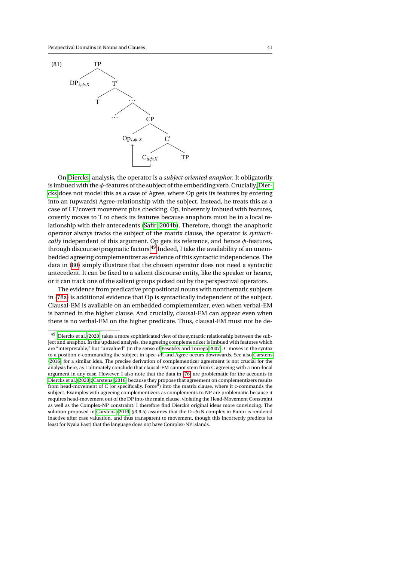

On [Diercks'](#page-45-3) analysis, the operator is a *subject oriented anaphor*. It obligatorily is imbued with the *φ*-features of the subject of the embedding verb. Crucially, [Dier](#page-45-3)[cks](#page-45-3) does not model this as a case of Agree, where Op gets its features by entering into an (upwards) Agree-relationship with the subject. Instead, he treats this as a case of LF/covert movement plus checking. Op, inherently imbued with features, covertly moves to T to check its features because anaphors must be in a local relationship with their antecedents [\(Safir, 2004b\)](#page-47-20). Therefore, though the anaphoric operator always tracks the subject of the matrix clause, the operator is *syntactically* independent of this argument. Op gets its reference, and hence *φ*-features, through discourse/pragmatic factors.<sup>[49](#page-40-0)</sup> Indeed, I take the availability of an unembedded agreeing complementizer as evidence of this syntactic independence. The data in [\(80\)](#page-39-4) simply illustrate that the chosen operator does not need a syntactic antecedent. It can be fixed to a salient discourse entity, like the speaker or hearer, or it can track one of the salient groups picked out by the perspectival operators.

The evidence from predicative propositional nouns with nonthematic subjects in [\(78a\)](#page-38-2) is additional evidence that Op is syntactically independent of the subject. Clausal-EM is available on an embedded complementizer, even when verbal-EM is banned in the higher clause. And crucially, clausal-EM can appear even when there is no verbal-EM on the higher predicate. Thus, clausal-EM must not be de-

<span id="page-40-0"></span><sup>49</sup> [Diercks et al.](#page-45-19) [\(2020\)](#page-45-19) takes a more sophisticated view of the syntactic relationship between the subject and anaphor. In the updated analysis, the agreeing complementizer is imbued with features which are "interpretable," but "unvalued" (in the sense of [Pesetsky and Torrego 2007\)](#page-47-21). C moves in the syntax to a position c-commanding the subject in spec-*v*P, and Agree occurs downwards. See also [Carstens](#page-44-8) [\(2016\)](#page-44-8) for a similar idea. The precise derivation of complementizer agreement is not crucial for the analysis here, as I ultimately conclude that clausal-EM cannot stem from C agreeing with a non-local argument in any case. However, I also note that the data in [\(76\)](#page-37-0) are problematic for the accounts in [Diercks et al.](#page-45-19) [\(2020\)](#page-45-19); [Carstens](#page-44-8) [\(2016\)](#page-44-8) because they propose that agreement on complementizers results from head-movement of C (or specifically, Force $\overline{0}$ ) into the matrix clause, where it c-commands the subject. Examples with agreeing complementizers as complements to NP are problematic because it requires head-movement out of the DP into the main clause, violating the Head-Movement Constraint as well as the Complex-NP constraint. I therefore find Dierck's original ideas more convincing. The solution proposed in [Carstens](#page-44-8) [\(2016,](#page-44-8) §3.6.5) assumes that the D+*φ*+N complex in Bantu is rendered inactive after case valuation, and thus transparent to movement, though this incorrectly predicts (at least for Nyala East) that the language does not have Complex-NP islands.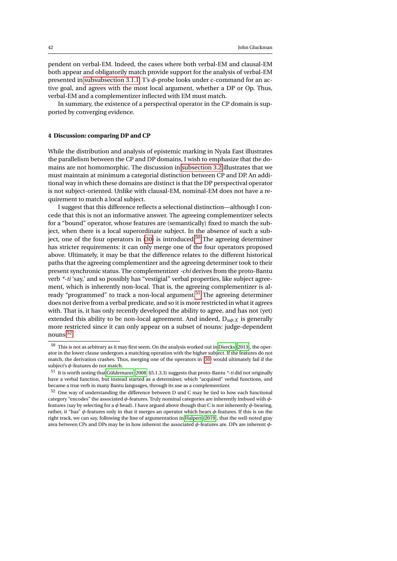pendent on verbal-EM. Indeed, the cases where both verbal-EM and clausal-EM both appear and obligatorily match provide support for the analysis of verbal-EM presented in [subsubsection 3.1.1.](#page-31-2) T's *φ*-probe looks under c-command for an active goal, and agrees with the most local argument, whether a DP or Op. Thus, verbal-EM and a complementizer inflected with EM must match.

In summary, the existence of a perspectival operator in the CP domain is supported by converging evidence.

#### <span id="page-41-0"></span>**4 Discussion: comparing DP and CP**

While the distribution and analysis of epistemic marking in Nyala East illustrates the parallelism between the CP and DP domains, I wish to emphasize that the domains are not homomorphic. The discussion in [subsection 3.2](#page-33-0) illustrates that we must maintain at minimum a categorial distinction between CP and DP. An additional way in which these domains are distinct is that the DP perspectival operator is not subject-oriented. Unlike with clausal-EM, nominal-EM does not have a requirement to match a local subject.

I suggest that this difference reflects a selectional distinction—although I concede that this is not an informative answer. The agreeing complementizer selects for a "bound" operator, whose features are (semantically) fixed to match the subject, when there is a local superordinate subject. In the absence of such a subject, one of the four operators in  $(30)$  is introduced.<sup>[50](#page-41-2)</sup> The agreeing determiner has stricter requirements: it can only merge one of the four operators proposed above. Ultimately, it may be that the difference relates to the different historical paths that the agreeing complementizer and the agreeing determiner took to their present synchronic status. The complementizer *-chi* derives from the proto-Bantu verb *\*-ti* 'say,' and so possibly has "vestigial" verbal properties, like subject agreement, which is inherently non-local. That is, the agreeing complementizer is al-ready "programmed" to track a non-local argument.<sup>[51](#page-41-3)</sup> The agreeing determiner does not derive from a verbal predicate, and so it is more restricted in what it agrees with. That is, it has only recently developed the ability to agree, and has not (yet) extended this ability to be non-local agreement. And indeed,  $D_{\mu\nu}$  is generally more restricted since it can only appear on a subset of nouns: judge-dependent nouns.[52](#page-41-1)

<span id="page-41-2"></span> $^{50}\,$  This is not as arbitrary as it may first seem. On the analysis worked out in [Diercks](#page-45-3) [\(2013\)](#page-45-3), the operator in the lower clause undergoes a matching operation with the higher subject. If the features do not match, the derivation crashes. Thus, merging one of the operators in [\(30\)](#page-17-3) would ultimately fail if the subject's *φ*-features do not match.

<span id="page-41-3"></span><sup>51</sup> It is worth noting that [Güldemann](#page-46-18) [\(2008,](#page-46-18) §5.1.3.3) suggests that proto-Bantu *\*-ti* did not originally have a verbal function, but instead started as a determiner, which "acquired" verbal functions, and became a true verb in many Bantu languages, through its use as a complementizer.

<span id="page-41-1"></span><sup>52</sup> One way of understanding the difference between D and C may be tied to how each functional category "encodes" the associated *φ*-features. Truly nominal categories are inherently imbued with *φ*features (say by selecting for a *φ* head). I have argued above though that C is not inherently *φ*-bearing, rather, it "has" *φ*-features only in that it merges an operator which bears *φ*-features. If this is on the right track, we can say, following the line of argumentation in [Halpert](#page-46-19) [\(2019\)](#page-46-19), that the well-noted gray area between CPs and DPs may be in how inherent the associated *φ*-features are. DPs are inherent *φ*-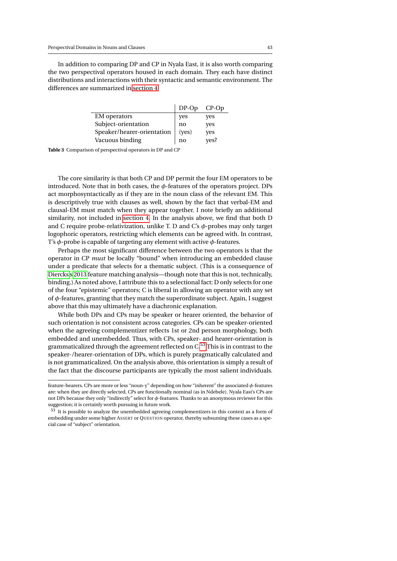In addition to comparing DP and CP in Nyala East, it is also worth comparing the two perspectival operators housed in each domain. They each have distinct distributions and interactions with their syntactic and semantic environment. The differences are summarized in [section 4.](#page-41-0)

|                            | $DP$ -Op       | $CP$ -Op |
|----------------------------|----------------|----------|
| <b>EM</b> operators        | yes            | yes      |
| Subject-orientation        | no             | yes      |
| Speaker/hearer-orientation | ( <b>ves</b> ) | yes      |
| Vacuous binding            | no             | yes?     |

**Table 3** Comparison of perspectival operators in DP and CP

The core similarity is that both CP and DP permit the four EM operators to be introduced. Note that in both cases, the  $\phi$ -features of the operators project. DPs act morphosyntactically as if they are in the noun class of the relevant EM. This is descriptively true with clauses as well, shown by the fact that verbal-EM and clausal-EM must match when they appear together. I note briefly an additional similarity, not included in [section 4.](#page-41-0) In the analysis above, we find that both D and C require probe-relativization, unlike T. D and C's *φ*-probes may only target logophoric operators, restricting which elements can be agreed with. In contrast, T's *φ*-probe is capable of targeting any element with active *φ*-features.

Perhaps the most significant difference between the two operators is that the operator in CP *must* be locally "bound" when introducing an embedded clause under a predicate that selects for a thematic subject. (This is a consequence of [Diercks'](#page-45-3)s [2013](#page-45-3) feature matching analysis—though note that this is not, technically, binding.) As noted above, I attribute this to a selectional fact: D only selects for one of the four "epistemic" operators; C is liberal in allowing an operator with any set of *φ*-features, granting that they match the superordinate subject. Again, I suggest above that this may ultimately have a diachronic explanation.

While both DPs and CPs may be speaker or hearer oriented, the behavior of such orientation is not consistent across categories. CPs can be speaker-oriented when the agreeing complementizer reflects 1st or 2nd person morphology, both embedded and unembedded. Thus, with CPs, speaker- and hearer-orientation is grammaticalized through the agreement reflected on C.[53](#page-42-0) This is in contrast to the speaker-/hearer-orientation of DPs, which is purely pragmatically calculated and is not grammaticalized. On the analysis above, this orientation is simply a result of the fact that the discourse participants are typically the most salient individuals.

feature-bearers. CPs are more or less "noun-y" depending on how "inherent" the associated *φ*-features are: when they are directly selected, CPs are functionally nominal (as in Ndebele). Nyala East's CPs are not DPs because they only "indirectly" select for *φ*-features. Thanks to an anonymous reviewer for this suggestion; it is certainly worth pursuing in future work.

<span id="page-42-0"></span><sup>53</sup> It is possible to analyze the unembedded agreeing complementizers in this context as a form of embedding under some higher ASSERT or QUESTION operator, thereby subsuming these cases as a special case of "subject" orientation.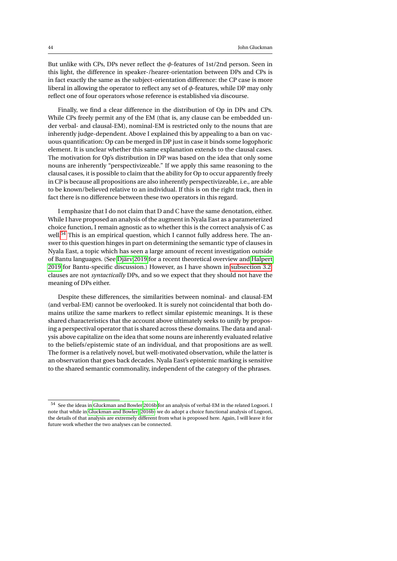But unlike with CPs, DPs never reflect the *φ*-features of 1st/2nd person. Seen in this light, the difference in speaker-/hearer-orientation between DPs and CPs is in fact exactly the same as the subject-orientation difference: the CP case is more liberal in allowing the operator to reflect any set of *φ*-features, while DP may only reflect one of four operators whose reference is established via discourse.

Finally, we find a clear difference in the distribution of Op in DPs and CPs. While CPs freely permit any of the EM (that is, any clause can be embedded under verbal- and clausal-EM), nominal-EM is restricted only to the nouns that are inherently judge-dependent. Above I explained this by appealing to a ban on vacuous quantification: Op can be merged in DP just in case it binds some logophoric element. It is unclear whether this same explanation extends to the clausal cases. The motivation for Op's distribution in DP was based on the idea that only some nouns are inherently "perspectivizeable." If we apply this same reasoning to the clausal cases, it is possible to claim that the ability for Op to occur apparently freely in CP is because all propositions are also inherently perspectivizeable, i.e., are able to be known/believed relative to an individual. If this is on the right track, then in fact there is no difference between these two operators in this regard.

I emphasize that I do not claim that D and C have the same denotation, either. While I have proposed an analysis of the augment in Nyala East as a parameterized choice function, I remain agnostic as to whether this is the correct analysis of C as well.<sup>[54](#page-43-0)</sup> This is an empirical question, which I cannot fully address here. The answer to this question hinges in part on determining the semantic type of clauses in Nyala East, a topic which has seen a large amount of recent investigation outside of Bantu languages. (See [Djärv 2019](#page-45-6) for a recent theoretical overview and [Halpert](#page-46-19) [2019](#page-46-19) for Bantu-specific discussion.) However, as I have shown in [subsection 3.2,](#page-33-0) clauses are not *syntactically* DPs, and so we expect that they should not have the meaning of DPs either.

Despite these differences, the similarities between nominal- and clausal-EM (and verbal-EM) cannot be overlooked. It is surely not coincidental that both domains utilize the same markers to reflect similar epistemic meanings. It is these shared characteristics that the account above ultimately seeks to unify by proposing a perspectival operator that is shared across these domains. The data and analysis above capitalize on the idea that some nouns are inherently evaluated relative to the beliefs/epistemic state of an individual, and that propositions are as well. The former is a relatively novel, but well-motivated observation, while the latter is an observation that goes back decades. Nyala East's epistemic marking is sensitive to the shared semantic commonality, independent of the category of the phrases.

<span id="page-43-0"></span><sup>54</sup> See the ideas in [Gluckman and Bowler 2016b](#page-46-4) for an analysis of verbal-EM in the related Logoori. I note that while in [Gluckman and Bowler](#page-46-4) [\(2016b\)](#page-46-4) we do adopt a choice functional analysis of Logoori, the details of that analysis are extremely different from what is proposed here. Again, I will leave it for future work whether the two analyses can be connected.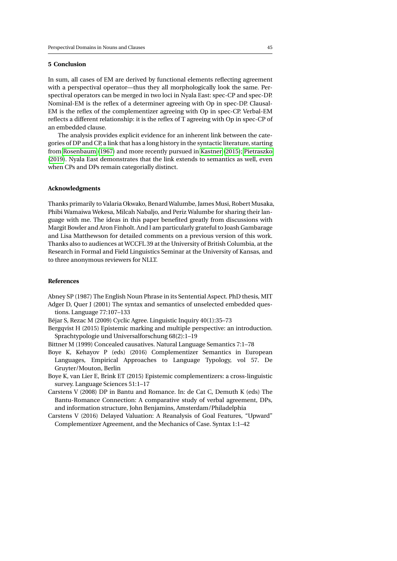## **5 Conclusion**

In sum, all cases of EM are derived by functional elements reflecting agreement with a perspectival operator—thus they all morphologically look the same. Perspectival operators can be merged in two loci in Nyala East: spec-CP and spec-DP. Nominal-EM is the reflex of a determiner agreeing with Op in spec-DP. Clausal-EM is the reflex of the complementizer agreeing with Op in spec-CP. Verbal-EM reflects a different relationship: it is the reflex of T agreeing with Op in spec-CP of an embedded clause.

The analysis provides explicit evidence for an inherent link between the categories of DP and CP, a link that has a long history in the syntactic literature, starting from [Rosenbaum](#page-47-0) [\(1967\)](#page-47-0) and more recently pursued in [Kastner](#page-46-1) [\(2015\)](#page-46-1); [Pietraszko](#page-47-2) [\(2019\)](#page-47-2). Nyala East demonstrates that the link extends to semantics as well, even when CPs and DPs remain categorially distinct.

#### **Acknowledgments**

Thanks primarily to Valaria Okwako, Benard Walumbe, James Musi, Robert Musaka, Phibi Wamaiwa Wekesa, Milcah Nabaljo, and Periz Walumbe for sharing their language with me. The ideas in this paper benefited greatly from discussions with Margit Bowler and Aron Finholt. And I am particularly grateful to Joash Gambarage and Lisa Matthewson for detailed comments on a previous version of this work. Thanks also to audiences at WCCFL 39 at the University of British Columbia, at the Research in Formal and Field Linguistics Seminar at the University of Kansas, and to three anonymous reviewers for NLLT.

## **References**

<span id="page-44-5"></span><span id="page-44-4"></span>Abney SP (1987) The English Noun Phrase in its Sentential Aspect. PhD thesis, MIT Adger D, Quer J (2001) The syntax and semantics of unselected embedded questions. Language 77:107–133

<span id="page-44-2"></span>Béjar S, Rezac M (2009) Cyclic Agree. Linguistic Inquiry 40(1):35–73

<span id="page-44-0"></span>Bergqvist H (2015) Epistemic marking and multiple perspective: an introduction. Sprachtypologie und Universalforschung 68(2):1–19

<span id="page-44-3"></span>Bittner M (1999) Concealed causatives. Natural Language Semantics 7:1–78

<span id="page-44-7"></span>Boye K, Kehayov P (eds) (2016) Complementizer Semantics in European Languages, Empirical Approaches to Language Typology, vol 57. De Gruyter/Mouton, Berlin

<span id="page-44-6"></span>Boye K, van Lier E, Brink ET (2015) Epistemic complementizers: a cross-linguistic survey. Language Sciences 51:1–17

<span id="page-44-1"></span>Carstens V (2008) DP in Bantu and Romance. In: de Cat C, Demuth K (eds) The Bantu-Romance Connection: A comparative study of verbal agreement, DPs, and information structure, John Benjamins, Amsterdam/Philadelphia

<span id="page-44-8"></span>Carstens V (2016) Delayed Valuation: A Reanalysis of Goal Features, "Upward" Complementizer Agreement, and the Mechanics of Case. Syntax 1:1–42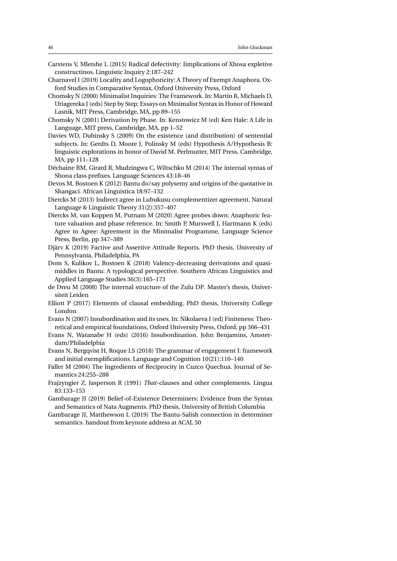- <span id="page-45-8"></span>Carstens V, Mletshe L (2015) Radical defectivity: Iimplications of Xhosa expletive constructinos. Linguistic Inquiry 2:187–242
- <span id="page-45-0"></span>Charnavel I (2019) Locality and Logophoricity: A Theory of Exempt Anaphora. Oxford Studies in Comparative Syntax, Oxford University Press, Oxford
- <span id="page-45-9"></span>Chomsky N (2000) Minimalist Inquiries: The Framework. In: Martin R, Michaels D, Uriagereka J (eds) Step by Step: Essays on Minimalist Syntax in Honor of Howard Lasnik, MIT Press, Cambridge, MA, pp 89–155
- <span id="page-45-10"></span>Chomsky N (2001) Derivation by Phase. In: Kenstowicz M (ed) Ken Hale: A Life in Language, MIT press, Cambridge, MA, pp 1–52
- <span id="page-45-14"></span>Davies WD, Dubinsky S (2009) On the existence (and distribution) of sentential subjects. In: Gerdts D, Moore J, Polinsky M (eds) Hypothesis A/Hypothesis B: linguistic explorations in honor of David M. Perlmutter, MIT Press, Cambridge, MA, pp 111–128
- <span id="page-45-11"></span>Déchaine RM, Girard R, Mudzingwa C, Wiltschko M (2014) The internal syntax of Shona class prefixes. Language Sciences 43:18–46
- <span id="page-45-18"></span>Devos M, Bostoen K (2012) Bantu do/say polysemy and origins of the quotative in Shangaci. African Linguistica 18:97–132
- <span id="page-45-3"></span>Diercks M (2013) Indirect agree in Lubukusu complementizer agreement. Natural Language & Linguistic Theory 31(2):357–407
- <span id="page-45-19"></span>Diercks M, van Koppen M, Putnam M (2020) Agree probes down: Anaphoric feature valuation and phase reference. In: Smith P, Murswell J, Hartmann K (eds) Agree to Agree: Agreement in the Minimalist Programme, Language Science Press, Berlin, pp 347–389
- <span id="page-45-6"></span>Djärv K (2019) Factive and Assertive Attitude Reports. PhD thesis, University of Pennsylvania, Philadelphia, PA
- <span id="page-45-13"></span>Dom S, Kulikov L, Bostoen K (2018) Valency-decreasing derivations and quasimiddles in Bantu: A typological perspective. Southern African Linguistics and Applied Language Studies 36(3):165–173
- <span id="page-45-7"></span>de Dreu M (2008) The internal structure of the Zulu DP. Master's thesis, Universiteit Leiden
- <span id="page-45-12"></span>Elliott P (2017) Elements of clausal embedding. PhD thesis, University College London
- <span id="page-45-16"></span>Evans N (2007) Insubordination and its uses. In: Nikolaeva I (ed) Finiteness: Theoretical and empirical foundations, Oxford University Press, Oxford, pp 366–431
- <span id="page-45-17"></span>Evans N, Watanabe H (eds) (2016) Insubordination. John Benjamins, Amsterdam/Philadelphia
- <span id="page-45-1"></span>Evans N, Bergqvist H, Roque LS (2018) The grammar of engagement I: framework and initial exemplifications. Language and Cognition 10(21):110–140
- <span id="page-45-2"></span>Faller M (2004) The Ingredients of Reciprocity in Cuzco Quechua. Journal of Semantics 24:255–288
- <span id="page-45-15"></span>Frajzyngier Z, Jasperson R (1991) *That*-clauses and other complements. Lingua 83:133–153
- <span id="page-45-4"></span>Gambarage JJ (2019) Belief-of-Existence Determiners: Evidence from the Syntax and Semantics of Nata Augments. PhD thesis, University of British Columbia
- <span id="page-45-5"></span>Gambarage JJ, Matthewson L (2019) The Bantu-Salish connection in determiner semantics. handout from keynote address at ACAL 50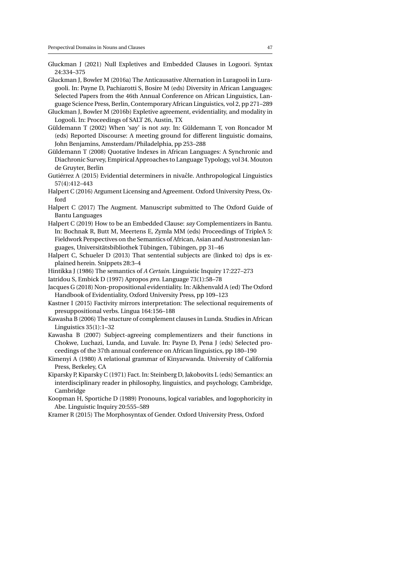- <span id="page-46-5"></span>Gluckman J (2021) Null Expletives and Embedded Clauses in Logoori. Syntax 24:334–375
- <span id="page-46-11"></span>Gluckman J, Bowler M (2016a) The Anticausative Alternation in Luragooli in Luragooli. In: Payne D, Pachiarotti S, Bosire M (eds) Diversity in African Languages: Selected Papers from the 46th Annual Conference on African Linguistics, Language Science Press, Berlin, Contemporary African Linguistics, vol 2, pp 271–289
- <span id="page-46-4"></span>Gluckman J, Bowler M (2016b) Expletive agreement, evidentiality, and modality in Logooli. In: Proceedings of SALT 26, Austin, TX
- <span id="page-46-17"></span>Güldemann T (2002) When 'say' is not *say*. In: Güldemann T, von Roncador M (eds) Reported Discourse: A meeting ground for different linguistic domains, John Benjamins, Amsterdam/Philadelphia, pp 253–288
- <span id="page-46-18"></span>Güldemann T (2008) Quotative Indexes in African Languages: A Synchronic and Diachronic Survey, Empirical Approaches to Language Typology, vol 34. Mouton de Gruyter, Berlin
- <span id="page-46-2"></span>Gutiérrez A (2015) Evidential determiners in nivacle. Anthropological Linguistics ˆ 57(4):412–443
- <span id="page-46-6"></span>Halpert C (2016) Argument Licensing and Agreement. Oxford University Press, Oxford
- <span id="page-46-7"></span>Halpert C (2017) The Augment. Manuscript submitted to The Oxford Guide of Bantu Languages
- <span id="page-46-19"></span>Halpert C (2019) How to be an Embedded Clause: *say* Complementizers in Bantu. In: Bochnak R, Butt M, Meertens E, Zymla MM (eds) Proceedings of TripleA 5: Fieldwork Perspectives on the Semantics of African, Asian and Austronesian languages, Universitätsbibliothek Tübingen, Tübingen, pp 31–46
- <span id="page-46-15"></span>Halpert C, Schueler D (2013) That sentential subjects are (linked to) dps is explained herein. Snippets 28:3–4
- <span id="page-46-10"></span>Hintikka J (1986) The semantics of *A Certain*. Linguistic Inquiry 17:227–273
- <span id="page-46-13"></span>Iatridou S, Embick D (1997) Apropos *pro*. Language 73(1):58–78
- <span id="page-46-3"></span>Jacques G (2018) Non-propositional evidentiality. In: Aikhenvald A (ed) The Oxford Handbook of Evidentiality, Oxford University Press, pp 109–123
- <span id="page-46-1"></span>Kastner I (2015) Factivity mirrors interpretation: The selectional requirements of presuppositional verbs. Lingua 164:156–188
- <span id="page-46-16"></span>Kawasha B (2006) The stucture of complement clauses in Lunda. Studies in African Linguistics 35(1):1–32
- <span id="page-46-8"></span>Kawasha B (2007) Subject-agreeing complementizers and their functions in Chokwe, Luchazi, Lunda, and Luvale. In: Payne D, Pena J (eds) Selected proceedings of the 37th annual conference on African linguistics, pp 180–190
- <span id="page-46-12"></span>Kimenyi A (1980) A relational grammar of Kinyarwanda. University of California Press, Berkeley, CA
- <span id="page-46-14"></span>Kiparsky P, Kiparsky C (1971) Fact. In: Steinberg D, Jakobovits L (eds) Semantics: an interdisciplinary reader in philosophy, linguistics, and psychology, Cambridge, Cambridge
- <span id="page-46-0"></span>Koopman H, Sportiche D (1989) Pronouns, logical variables, and logophoricity in Abe. Linguistic Inquiry 20:555–589
- <span id="page-46-9"></span>Kramer R (2015) The Morphosyntax of Gender. Oxford University Press, Oxford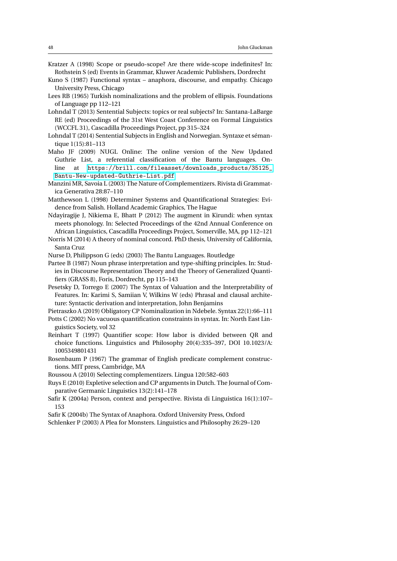- <span id="page-47-10"></span>Kratzer A (1998) Scope or pseudo-scope? Are there wide-scope indefinites? In: Rothstein S (ed) Events in Grammar, Kluwer Academic Publishers, Dordrecht
- <span id="page-47-12"></span>Kuno S (1987) Functional syntax – anaphora, discourse, and empathy. Chicago University Press, Chicago
- <span id="page-47-1"></span>Lees RB (1965) Turkish nominalizations and the problem of ellipsis. Foundations of Language pp 112–121
- <span id="page-47-19"></span>Lohndal T (2013) Sentential Subjects: topics or real subjects? In: Santana-LaBarge RE (ed) Proceedings of the 31st West Coast Conference on Formal Linguistics (WCCFL 31), Cascadilla Proceedings Project, pp 315–324
- <span id="page-47-15"></span>Lohndal T (2014) Sentential Subjects in English and Norwegian. Syntaxe et sémantique 1(15):81–113
- <span id="page-47-3"></span>Maho JF (2009) NUGL Online: The online version of the New Updated Guthrie List, a referential classification of the Bantu languages. Online at [https://brill.com/fileasset/downloads\\_products/35125\\_](https://brill.com/fileasset/downloads_products/35125_Bantu-New-updated-Guthrie-List.pdf) [Bantu-New-updated-Guthrie-List.pdf](https://brill.com/fileasset/downloads_products/35125_Bantu-New-updated-Guthrie-List.pdf)
- <span id="page-47-17"></span>Manzini MR, Savoia L (2003) The Nature of Complementizers. Rivista di Grammatica Generativa 28:87–110
- <span id="page-47-9"></span>Matthewson L (1998) Determiner Systems and Quantificational Strategies: Evidence from Salish. Holland Academic Graphics, The Hague
- <span id="page-47-5"></span>Ndayiragije J, Nikiema E, Bhatt P (2012) The augment in Kirundi: when syntax meets phonology. In: Selected Proceedings of the 42nd Annual Conference on African Linguistics, Cascadilla Proceedings Project, Somerville, MA, pp 112–121
- <span id="page-47-7"></span>Norris M (2014) A theory of nominal concord. PhD thesis, University of California, Santa Cruz
- <span id="page-47-4"></span>Nurse D, Philippson G (eds) (2003) The Bantu Languages. Routledge
- <span id="page-47-13"></span>Partee B (1987) Noun phrase interpretation and type-shifting principles. In: Studies in Discourse Representation Theory and the Theory of Generalized Quantifiers (GRASS 8), Foris, Dordrecht, pp 115–143
- <span id="page-47-21"></span>Pesetsky D, Torrego E (2007) The Syntax of Valuation and the Interpretability of Features. In: Karimi S, Samiian V, Wilkins W (eds) Phrasal and clausal architeture: Syntactic derivation and interpretation, John Benjamins
- <span id="page-47-11"></span><span id="page-47-2"></span>Pietraszko A (2019) Obligatory CP Nominalization in Ndebele. Syntax 22(1):66–111 Potts C (2002) No vacuous quantification constraints in syntax. In: North East Linguistics Society, vol 32
- <span id="page-47-8"></span>Reinhart T (1997) Quantifier scope: How labor is divided between QR and choice functions. Linguistics and Philosophy 20(4):335–397, DOI 10.1023/A: 1005349801431
- <span id="page-47-0"></span>Rosenbaum P (1967) The grammar of English predicate complement constructions. MIT press, Cambridge, MA
- <span id="page-47-18"></span>Roussou A (2010) Selecting complementizers. Lingua 120:582–603
- <span id="page-47-16"></span>Ruys E (2010) Expletive selection and CP arguments in Dutch. The Journal of Comparative Germanic Linguistics 13(2):141–178
- <span id="page-47-14"></span>Safir K (2004a) Person, context and perspective. Rivista di Linguistica 16(1):107– 153
- <span id="page-47-20"></span>Safir K (2004b) The Syntax of Anaphora. Oxford University Press, Oxford
- <span id="page-47-6"></span>Schlenker P (2003) A Plea for Monsters. Linguistics and Philosophy 26:29–120